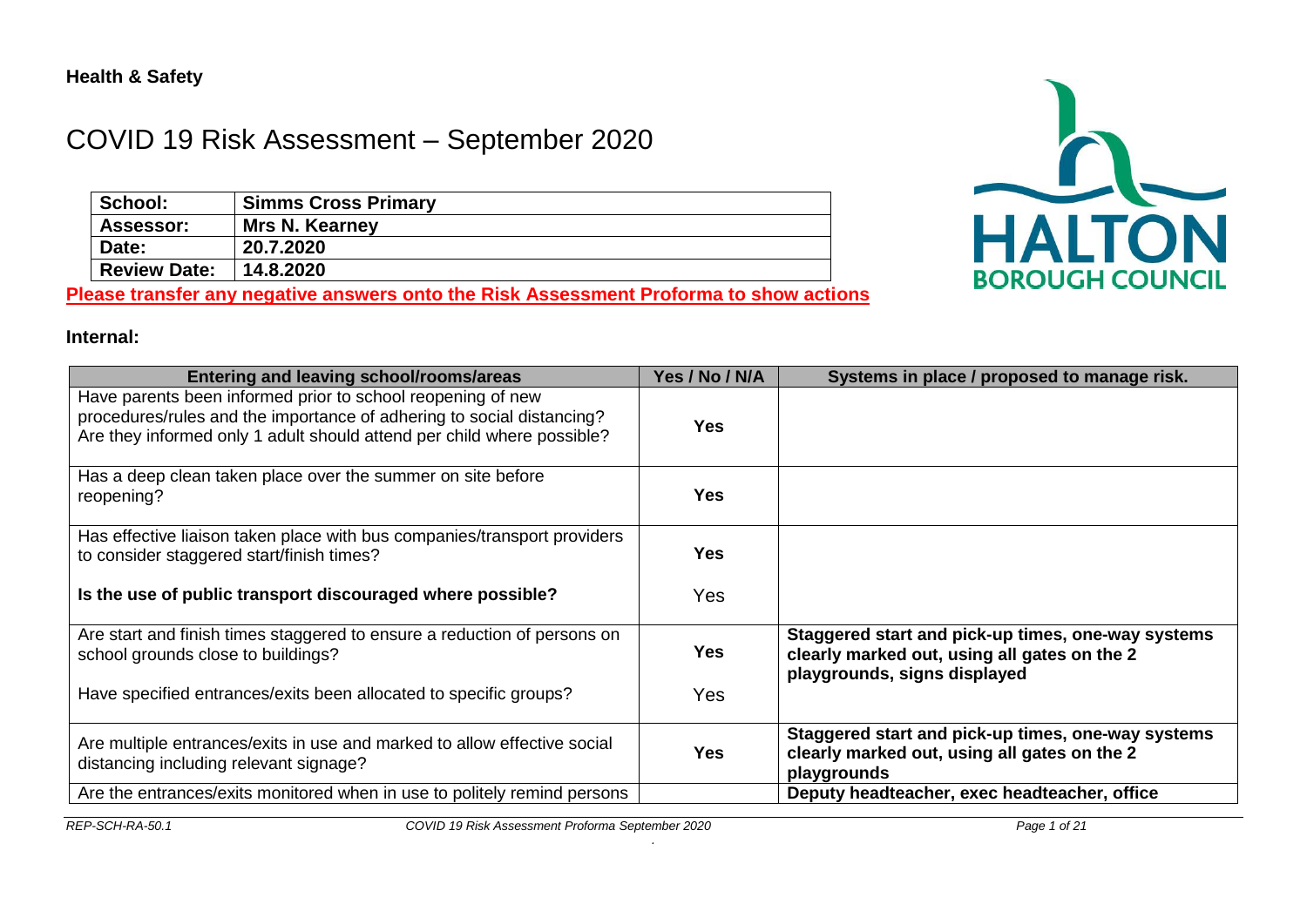# COVID 19 Risk Assessment – September 2020

| School:             | <b>Simms Cross Primary</b> |
|---------------------|----------------------------|
| Assessor:           | <b>Mrs N. Kearney</b>      |
| Date:               | 20.7.2020                  |
| <b>Review Date:</b> | 14.8.2020                  |

**Please transfer any negative answers onto the Risk Assessment Proforma to show actions**



#### **Internal:**

| <b>Entering and leaving school/rooms/areas</b>                                                                                                                                                                 | Yes / No / N/A | Systems in place / proposed to manage risk.                                                                                        |
|----------------------------------------------------------------------------------------------------------------------------------------------------------------------------------------------------------------|----------------|------------------------------------------------------------------------------------------------------------------------------------|
| Have parents been informed prior to school reopening of new<br>procedures/rules and the importance of adhering to social distancing?<br>Are they informed only 1 adult should attend per child where possible? | <b>Yes</b>     |                                                                                                                                    |
| Has a deep clean taken place over the summer on site before<br>reopening?                                                                                                                                      | <b>Yes</b>     |                                                                                                                                    |
| Has effective liaison taken place with bus companies/transport providers<br>to consider staggered start/finish times?                                                                                          | <b>Yes</b>     |                                                                                                                                    |
| Is the use of public transport discouraged where possible?                                                                                                                                                     | Yes            |                                                                                                                                    |
| Are start and finish times staggered to ensure a reduction of persons on<br>school grounds close to buildings?                                                                                                 | <b>Yes</b>     | Staggered start and pick-up times, one-way systems<br>clearly marked out, using all gates on the 2<br>playgrounds, signs displayed |
| Have specified entrances/exits been allocated to specific groups?                                                                                                                                              | Yes            |                                                                                                                                    |
| Are multiple entrances/exits in use and marked to allow effective social<br>distancing including relevant signage?                                                                                             | <b>Yes</b>     | Staggered start and pick-up times, one-way systems<br>clearly marked out, using all gates on the 2<br>playgrounds                  |
| Are the entrances/exits monitored when in use to politely remind persons                                                                                                                                       |                | Deputy headteacher, exec headteacher, office                                                                                       |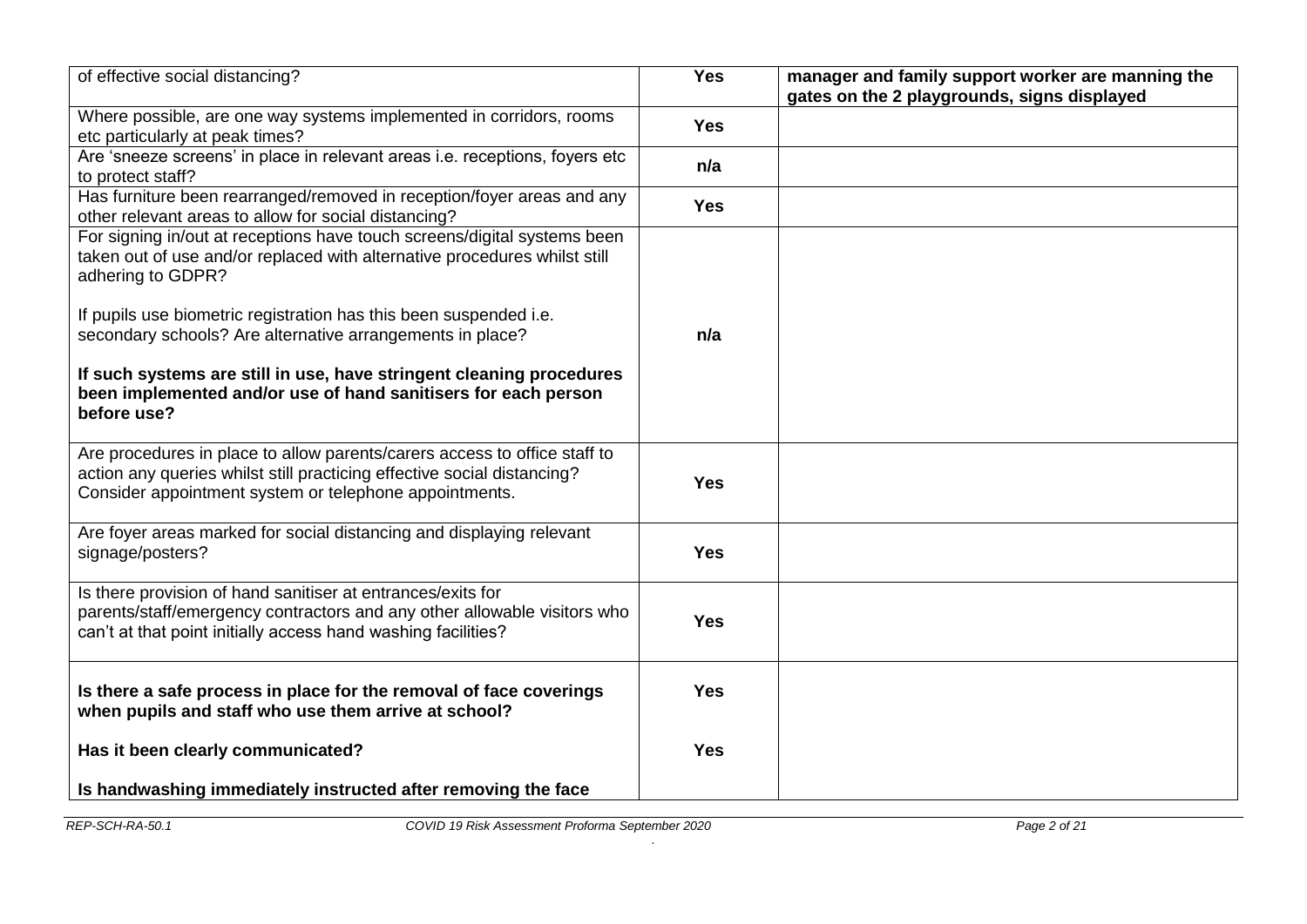| of effective social distancing?                                                                                                                                                                                                                 | <b>Yes</b> | manager and family support worker are manning the<br>gates on the 2 playgrounds, signs displayed |
|-------------------------------------------------------------------------------------------------------------------------------------------------------------------------------------------------------------------------------------------------|------------|--------------------------------------------------------------------------------------------------|
| Where possible, are one way systems implemented in corridors, rooms<br>etc particularly at peak times?                                                                                                                                          | <b>Yes</b> |                                                                                                  |
| Are 'sneeze screens' in place in relevant areas i.e. receptions, foyers etc<br>to protect staff?                                                                                                                                                | n/a        |                                                                                                  |
| Has furniture been rearranged/removed in reception/foyer areas and any<br>other relevant areas to allow for social distancing?                                                                                                                  | <b>Yes</b> |                                                                                                  |
| For signing in/out at receptions have touch screens/digital systems been<br>taken out of use and/or replaced with alternative procedures whilst still<br>adhering to GDPR?<br>If pupils use biometric registration has this been suspended i.e. |            |                                                                                                  |
| secondary schools? Are alternative arrangements in place?                                                                                                                                                                                       | n/a        |                                                                                                  |
| If such systems are still in use, have stringent cleaning procedures<br>been implemented and/or use of hand sanitisers for each person<br>before use?                                                                                           |            |                                                                                                  |
| Are procedures in place to allow parents/carers access to office staff to<br>action any queries whilst still practicing effective social distancing?<br>Consider appointment system or telephone appointments.                                  | <b>Yes</b> |                                                                                                  |
| Are foyer areas marked for social distancing and displaying relevant<br>signage/posters?                                                                                                                                                        | <b>Yes</b> |                                                                                                  |
| Is there provision of hand sanitiser at entrances/exits for<br>parents/staff/emergency contractors and any other allowable visitors who<br>can't at that point initially access hand washing facilities?                                        | <b>Yes</b> |                                                                                                  |
| Is there a safe process in place for the removal of face coverings<br>when pupils and staff who use them arrive at school?                                                                                                                      | <b>Yes</b> |                                                                                                  |
| Has it been clearly communicated?                                                                                                                                                                                                               | <b>Yes</b> |                                                                                                  |
| Is handwashing immediately instructed after removing the face                                                                                                                                                                                   |            |                                                                                                  |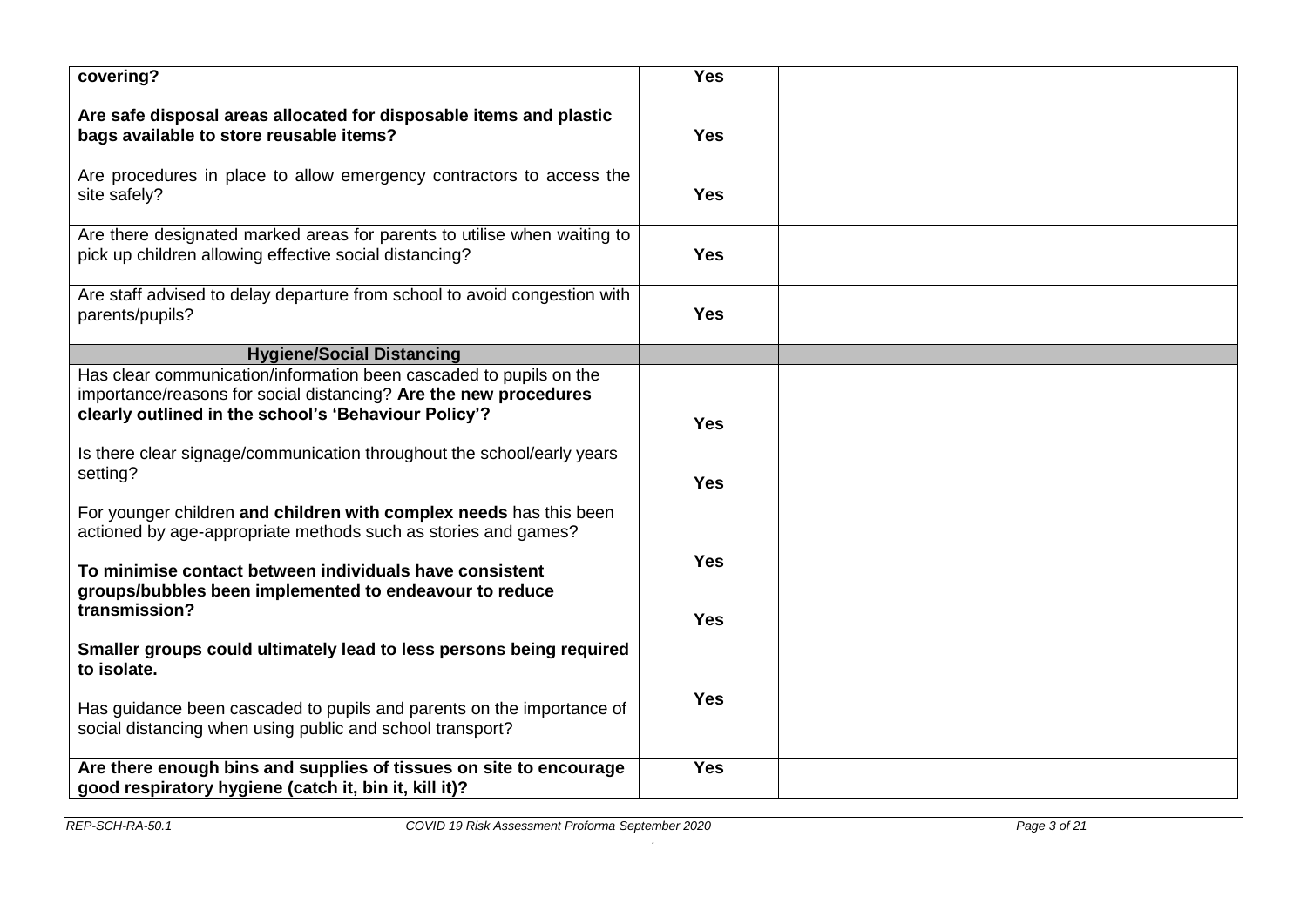| covering?                                                                                                                                                                                      | <b>Yes</b> |  |
|------------------------------------------------------------------------------------------------------------------------------------------------------------------------------------------------|------------|--|
| Are safe disposal areas allocated for disposable items and plastic<br>bags available to store reusable items?                                                                                  | <b>Yes</b> |  |
| Are procedures in place to allow emergency contractors to access the<br>site safely?                                                                                                           | <b>Yes</b> |  |
| Are there designated marked areas for parents to utilise when waiting to<br>pick up children allowing effective social distancing?                                                             | <b>Yes</b> |  |
| Are staff advised to delay departure from school to avoid congestion with<br>parents/pupils?                                                                                                   | <b>Yes</b> |  |
| <b>Hygiene/Social Distancing</b>                                                                                                                                                               |            |  |
| Has clear communication/information been cascaded to pupils on the<br>importance/reasons for social distancing? Are the new procedures<br>clearly outlined in the school's 'Behaviour Policy'? | <b>Yes</b> |  |
| Is there clear signage/communication throughout the school/early years<br>setting?                                                                                                             | <b>Yes</b> |  |
| For younger children and children with complex needs has this been<br>actioned by age-appropriate methods such as stories and games?                                                           |            |  |
| To minimise contact between individuals have consistent<br>groups/bubbles been implemented to endeavour to reduce                                                                              | <b>Yes</b> |  |
| transmission?                                                                                                                                                                                  | <b>Yes</b> |  |
| Smaller groups could ultimately lead to less persons being required<br>to isolate.                                                                                                             |            |  |
| Has guidance been cascaded to pupils and parents on the importance of<br>social distancing when using public and school transport?                                                             | <b>Yes</b> |  |
| Are there enough bins and supplies of tissues on site to encourage<br>good respiratory hygiene (catch it, bin it, kill it)?                                                                    | <b>Yes</b> |  |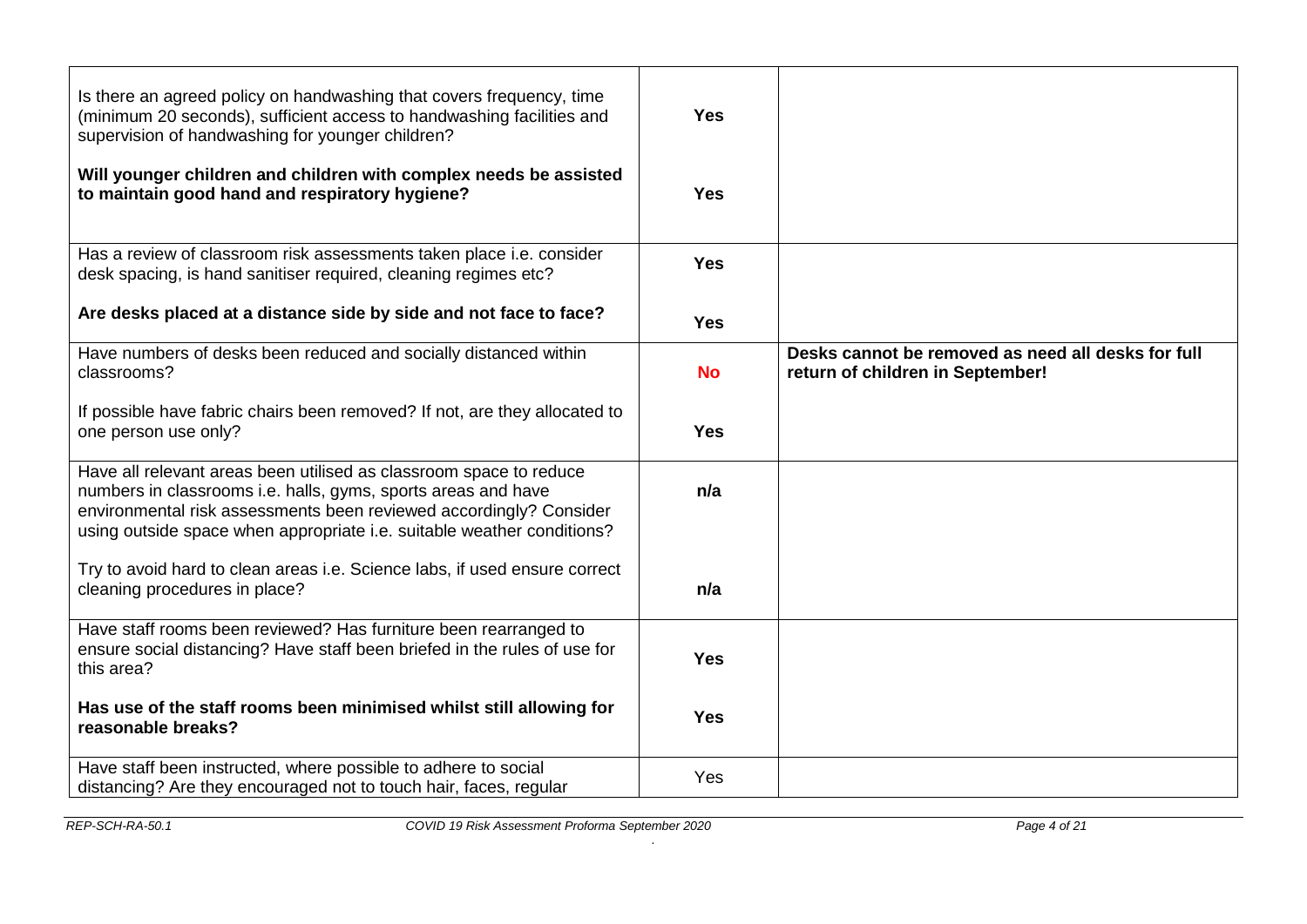| Is there an agreed policy on handwashing that covers frequency, time<br>(minimum 20 seconds), sufficient access to handwashing facilities and<br>supervision of handwashing for younger children?                                                                                   | <b>Yes</b> |                                                                                        |
|-------------------------------------------------------------------------------------------------------------------------------------------------------------------------------------------------------------------------------------------------------------------------------------|------------|----------------------------------------------------------------------------------------|
| Will younger children and children with complex needs be assisted<br>to maintain good hand and respiratory hygiene?                                                                                                                                                                 | <b>Yes</b> |                                                                                        |
| Has a review of classroom risk assessments taken place i.e. consider<br>desk spacing, is hand sanitiser required, cleaning regimes etc?                                                                                                                                             | <b>Yes</b> |                                                                                        |
| Are desks placed at a distance side by side and not face to face?                                                                                                                                                                                                                   | <b>Yes</b> |                                                                                        |
| Have numbers of desks been reduced and socially distanced within<br>classrooms?                                                                                                                                                                                                     | <b>No</b>  | Desks cannot be removed as need all desks for full<br>return of children in September! |
| If possible have fabric chairs been removed? If not, are they allocated to<br>one person use only?                                                                                                                                                                                  | <b>Yes</b> |                                                                                        |
| Have all relevant areas been utilised as classroom space to reduce<br>numbers in classrooms i.e. halls, gyms, sports areas and have<br>environmental risk assessments been reviewed accordingly? Consider<br>using outside space when appropriate i.e. suitable weather conditions? | n/a        |                                                                                        |
| Try to avoid hard to clean areas i.e. Science labs, if used ensure correct<br>cleaning procedures in place?                                                                                                                                                                         | n/a        |                                                                                        |
| Have staff rooms been reviewed? Has furniture been rearranged to<br>ensure social distancing? Have staff been briefed in the rules of use for<br>this area?                                                                                                                         | <b>Yes</b> |                                                                                        |
| Has use of the staff rooms been minimised whilst still allowing for<br>reasonable breaks?                                                                                                                                                                                           | <b>Yes</b> |                                                                                        |
| Have staff been instructed, where possible to adhere to social<br>distancing? Are they encouraged not to touch hair, faces, regular                                                                                                                                                 | Yes        |                                                                                        |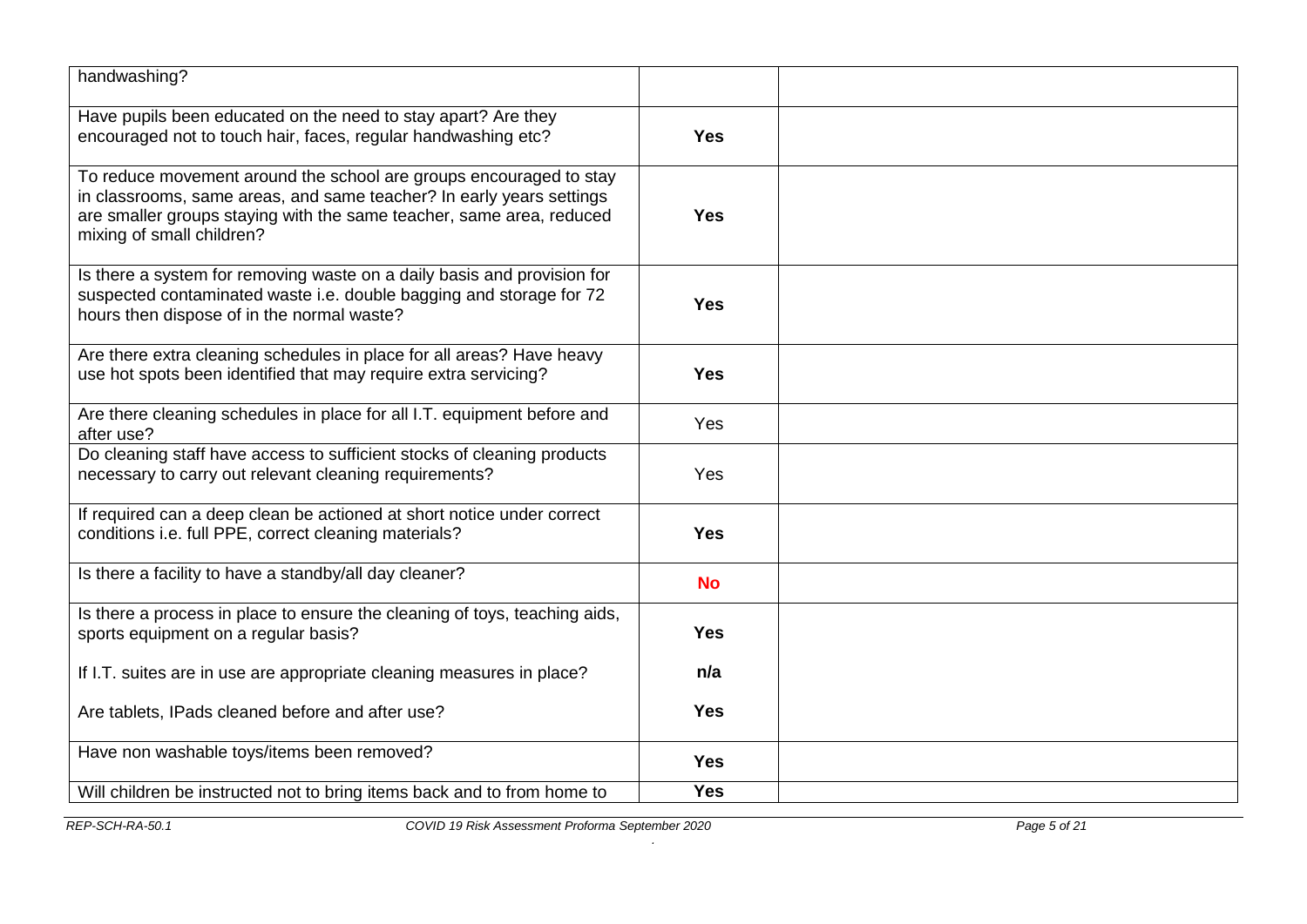| handwashing?                                                                                                                                                                                                                                    |            |  |
|-------------------------------------------------------------------------------------------------------------------------------------------------------------------------------------------------------------------------------------------------|------------|--|
| Have pupils been educated on the need to stay apart? Are they<br>encouraged not to touch hair, faces, regular handwashing etc?                                                                                                                  | <b>Yes</b> |  |
| To reduce movement around the school are groups encouraged to stay<br>in classrooms, same areas, and same teacher? In early years settings<br>are smaller groups staying with the same teacher, same area, reduced<br>mixing of small children? | <b>Yes</b> |  |
| Is there a system for removing waste on a daily basis and provision for<br>suspected contaminated waste i.e. double bagging and storage for 72<br>hours then dispose of in the normal waste?                                                    | <b>Yes</b> |  |
| Are there extra cleaning schedules in place for all areas? Have heavy<br>use hot spots been identified that may require extra servicing?                                                                                                        | <b>Yes</b> |  |
| Are there cleaning schedules in place for all I.T. equipment before and<br>after use?                                                                                                                                                           | Yes        |  |
| Do cleaning staff have access to sufficient stocks of cleaning products<br>necessary to carry out relevant cleaning requirements?                                                                                                               | Yes        |  |
| If required can a deep clean be actioned at short notice under correct<br>conditions i.e. full PPE, correct cleaning materials?                                                                                                                 | <b>Yes</b> |  |
| Is there a facility to have a standby/all day cleaner?                                                                                                                                                                                          | <b>No</b>  |  |
| Is there a process in place to ensure the cleaning of toys, teaching aids,<br>sports equipment on a regular basis?                                                                                                                              | <b>Yes</b> |  |
| If I.T. suites are in use are appropriate cleaning measures in place?                                                                                                                                                                           | n/a        |  |
| Are tablets, IPads cleaned before and after use?                                                                                                                                                                                                | <b>Yes</b> |  |
| Have non washable toys/items been removed?                                                                                                                                                                                                      | <b>Yes</b> |  |
| Will children be instructed not to bring items back and to from home to                                                                                                                                                                         | <b>Yes</b> |  |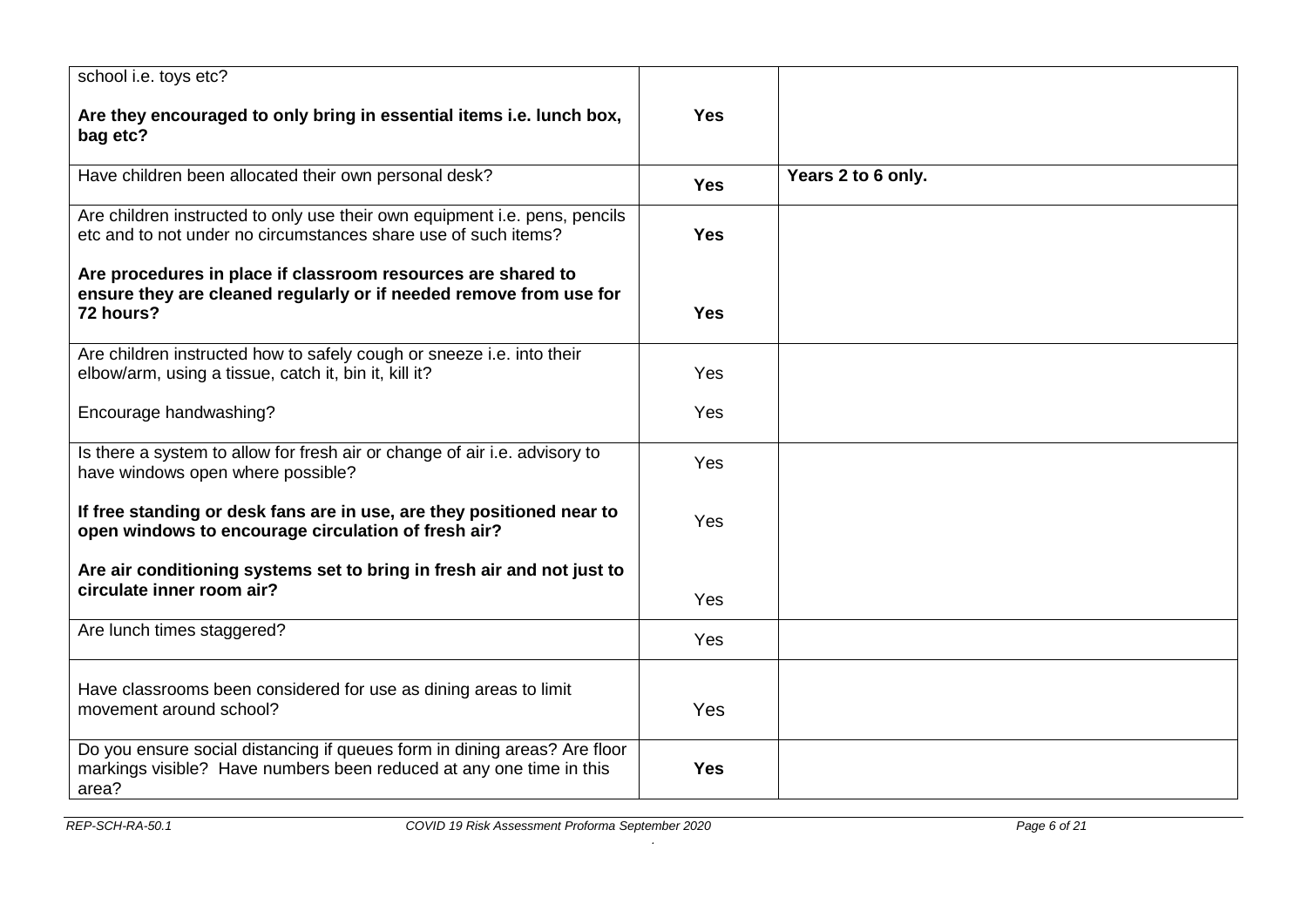| school i.e. toys etc?                                                                                                                                     |            |                    |
|-----------------------------------------------------------------------------------------------------------------------------------------------------------|------------|--------------------|
| Are they encouraged to only bring in essential items i.e. lunch box,<br>bag etc?                                                                          | <b>Yes</b> |                    |
| Have children been allocated their own personal desk?                                                                                                     | <b>Yes</b> | Years 2 to 6 only. |
| Are children instructed to only use their own equipment i.e. pens, pencils<br>etc and to not under no circumstances share use of such items?              | <b>Yes</b> |                    |
| Are procedures in place if classroom resources are shared to<br>ensure they are cleaned regularly or if needed remove from use for<br>72 hours?           | <b>Yes</b> |                    |
| Are children instructed how to safely cough or sneeze i.e. into their<br>elbow/arm, using a tissue, catch it, bin it, kill it?                            | Yes        |                    |
| Encourage handwashing?                                                                                                                                    | Yes        |                    |
| Is there a system to allow for fresh air or change of air i.e. advisory to<br>have windows open where possible?                                           | Yes        |                    |
| If free standing or desk fans are in use, are they positioned near to<br>open windows to encourage circulation of fresh air?                              | Yes        |                    |
| Are air conditioning systems set to bring in fresh air and not just to                                                                                    |            |                    |
| circulate inner room air?                                                                                                                                 | Yes        |                    |
| Are lunch times staggered?                                                                                                                                | Yes        |                    |
| Have classrooms been considered for use as dining areas to limit<br>movement around school?                                                               | Yes        |                    |
| Do you ensure social distancing if queues form in dining areas? Are floor<br>markings visible? Have numbers been reduced at any one time in this<br>area? | <b>Yes</b> |                    |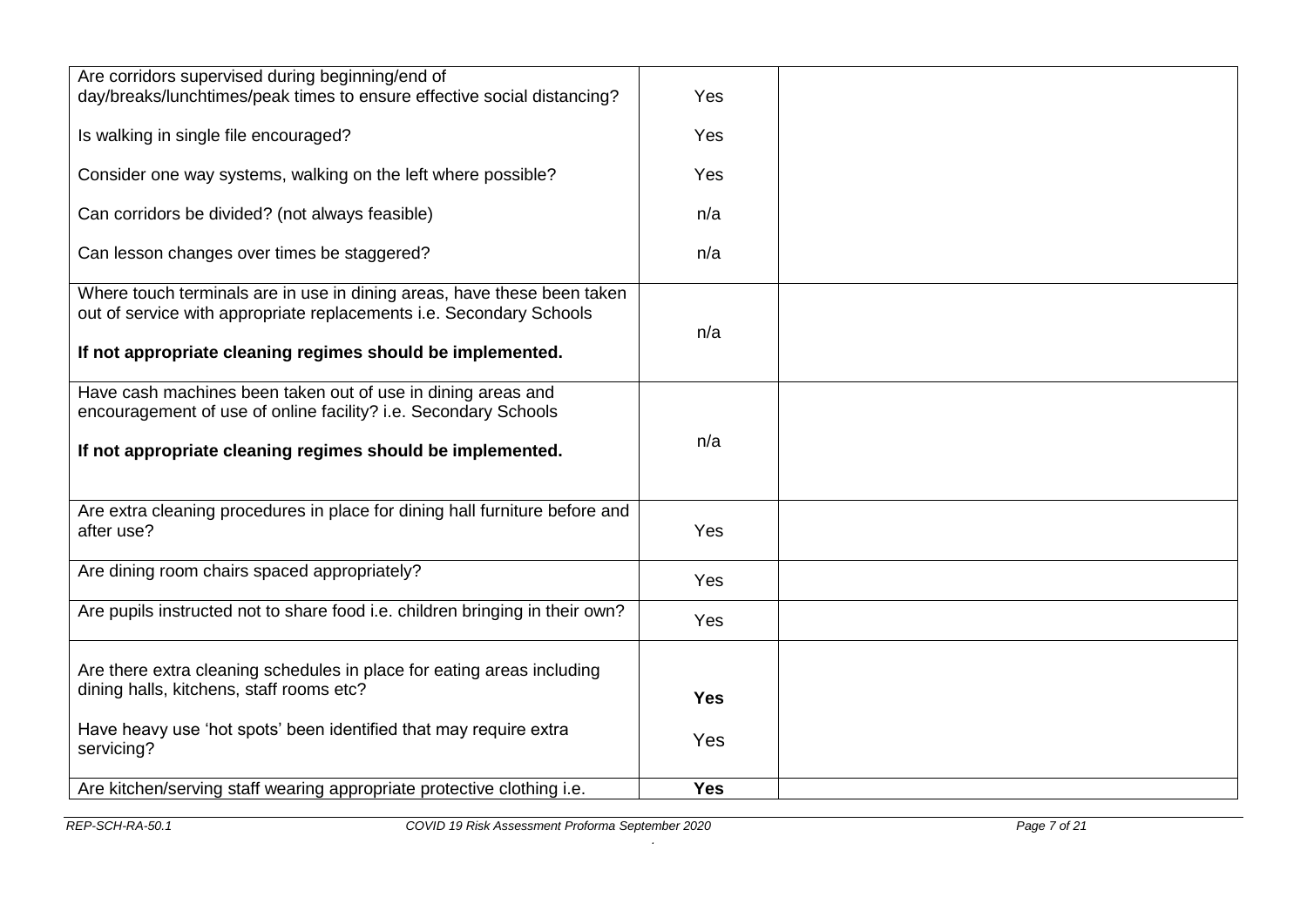| Are corridors supervised during beginning/end of                             |            |  |
|------------------------------------------------------------------------------|------------|--|
| day/breaks/lunchtimes/peak times to ensure effective social distancing?      | Yes        |  |
|                                                                              |            |  |
| Is walking in single file encouraged?                                        | Yes        |  |
|                                                                              |            |  |
|                                                                              |            |  |
| Consider one way systems, walking on the left where possible?                | Yes        |  |
|                                                                              |            |  |
| Can corridors be divided? (not always feasible)                              | n/a        |  |
|                                                                              |            |  |
| Can lesson changes over times be staggered?                                  | n/a        |  |
|                                                                              |            |  |
| Where touch terminals are in use in dining areas, have these been taken      |            |  |
| out of service with appropriate replacements i.e. Secondary Schools          |            |  |
|                                                                              | n/a        |  |
| If not appropriate cleaning regimes should be implemented.                   |            |  |
|                                                                              |            |  |
| Have cash machines been taken out of use in dining areas and                 |            |  |
| encouragement of use of online facility? i.e. Secondary Schools              |            |  |
|                                                                              |            |  |
|                                                                              | n/a        |  |
| If not appropriate cleaning regimes should be implemented.                   |            |  |
|                                                                              |            |  |
|                                                                              |            |  |
| Are extra cleaning procedures in place for dining hall furniture before and  |            |  |
| after use?                                                                   | Yes        |  |
|                                                                              |            |  |
| Are dining room chairs spaced appropriately?                                 | Yes        |  |
|                                                                              |            |  |
| Are pupils instructed not to share food i.e. children bringing in their own? |            |  |
|                                                                              | Yes        |  |
|                                                                              |            |  |
| Are there extra cleaning schedules in place for eating areas including       |            |  |
| dining halls, kitchens, staff rooms etc?                                     |            |  |
|                                                                              | <b>Yes</b> |  |
| Have heavy use 'hot spots' been identified that may require extra            |            |  |
|                                                                              | Yes        |  |
| servicing?                                                                   |            |  |
|                                                                              |            |  |
| Are kitchen/serving staff wearing appropriate protective clothing i.e.       | <b>Yes</b> |  |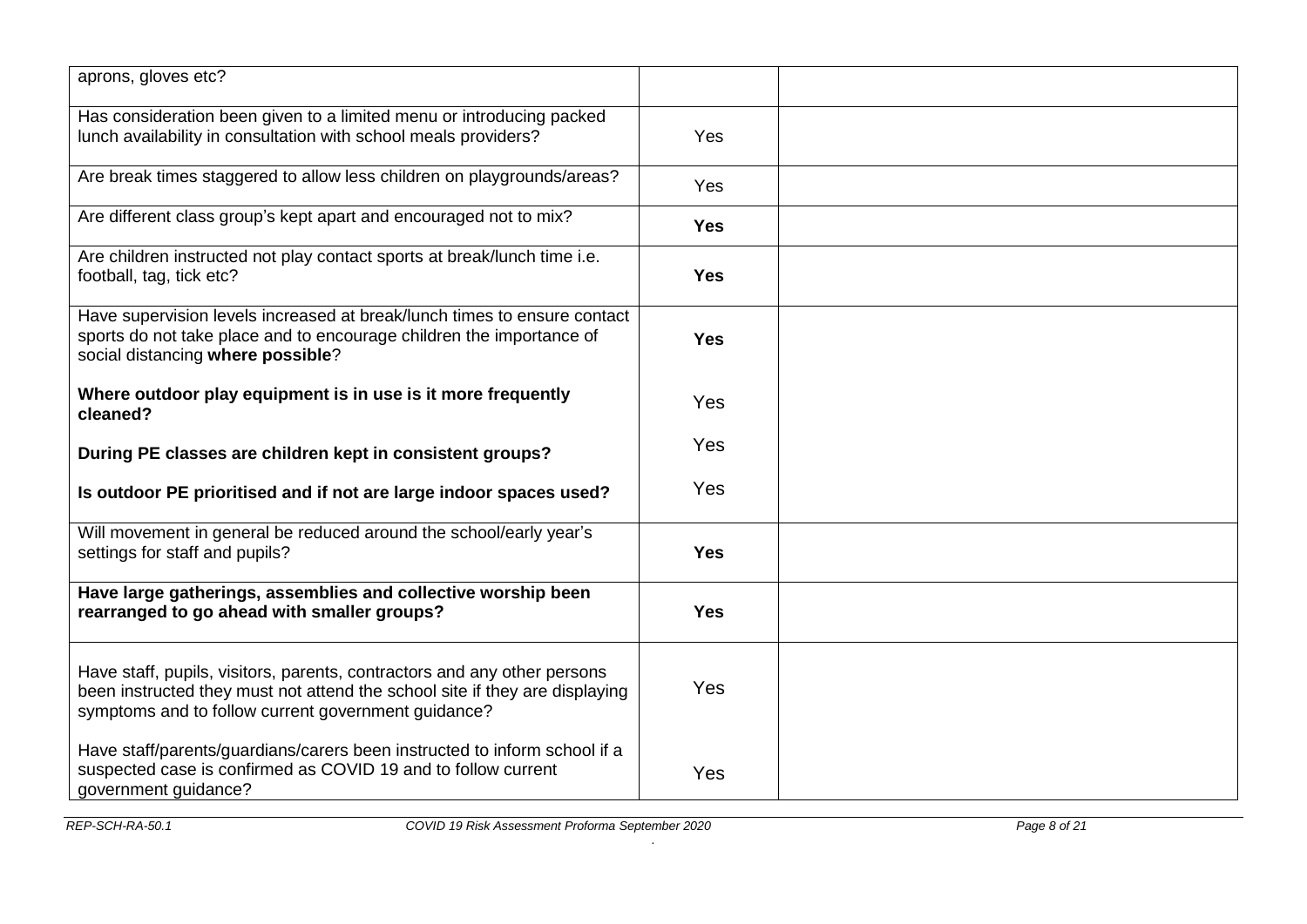| aprons, gloves etc?                                                                                                                                                                                            |            |  |
|----------------------------------------------------------------------------------------------------------------------------------------------------------------------------------------------------------------|------------|--|
| Has consideration been given to a limited menu or introducing packed<br>lunch availability in consultation with school meals providers?                                                                        | Yes        |  |
| Are break times staggered to allow less children on playgrounds/areas?                                                                                                                                         | Yes        |  |
| Are different class group's kept apart and encouraged not to mix?                                                                                                                                              | <b>Yes</b> |  |
| Are children instructed not play contact sports at break/lunch time i.e.<br>football, tag, tick etc?                                                                                                           | <b>Yes</b> |  |
| Have supervision levels increased at break/lunch times to ensure contact<br>sports do not take place and to encourage children the importance of<br>social distancing where possible?                          | <b>Yes</b> |  |
| Where outdoor play equipment is in use is it more frequently<br>cleaned?                                                                                                                                       | Yes        |  |
| During PE classes are children kept in consistent groups?                                                                                                                                                      | Yes        |  |
| Is outdoor PE prioritised and if not are large indoor spaces used?                                                                                                                                             | Yes        |  |
| Will movement in general be reduced around the school/early year's<br>settings for staff and pupils?                                                                                                           | <b>Yes</b> |  |
| Have large gatherings, assemblies and collective worship been<br>rearranged to go ahead with smaller groups?                                                                                                   | <b>Yes</b> |  |
| Have staff, pupils, visitors, parents, contractors and any other persons<br>been instructed they must not attend the school site if they are displaying<br>symptoms and to follow current government guidance? | <b>Yes</b> |  |
| Have staff/parents/guardians/carers been instructed to inform school if a<br>suspected case is confirmed as COVID 19 and to follow current<br>government guidance?                                             | Yes        |  |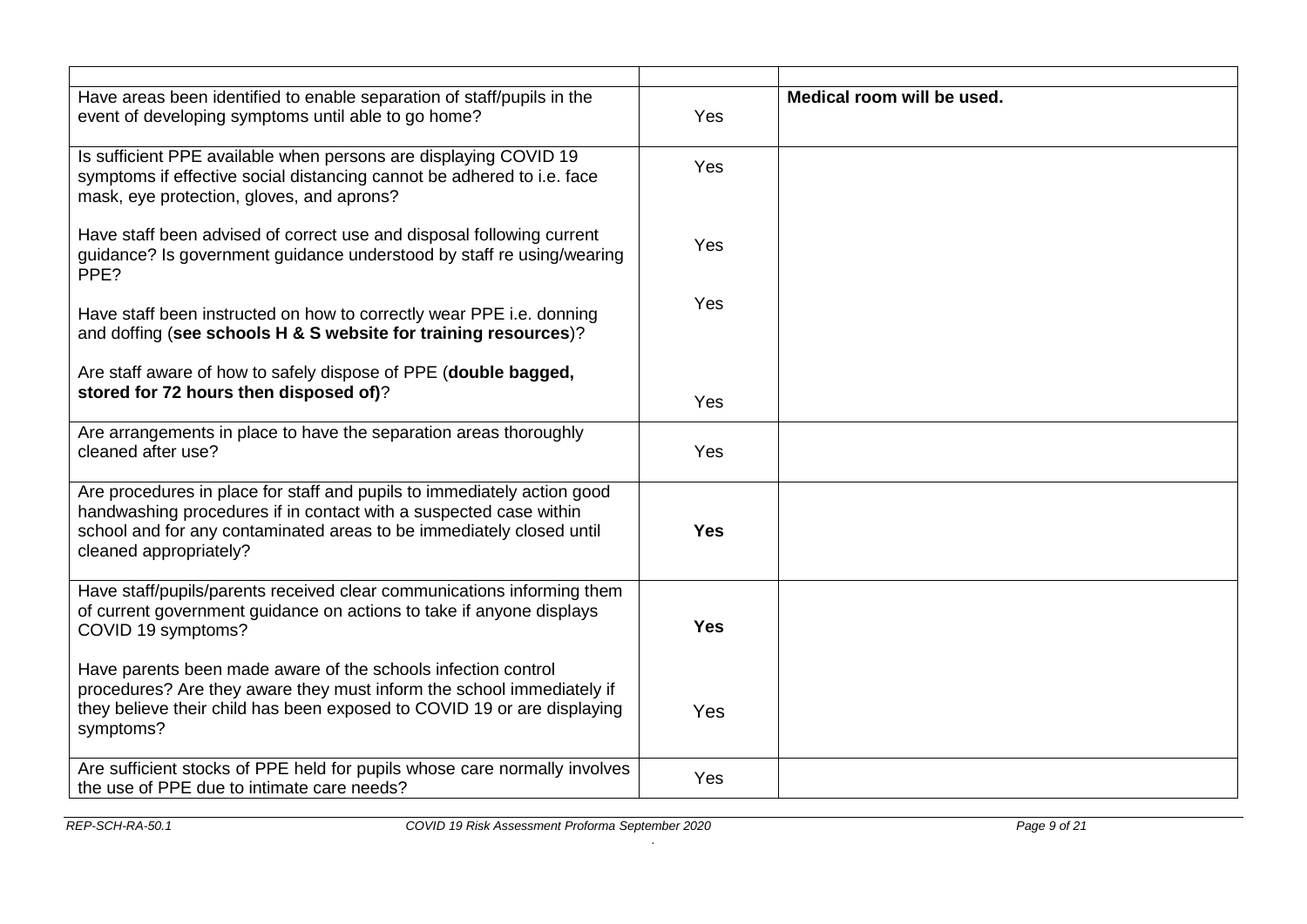| Have areas been identified to enable separation of staff/pupils in the<br>event of developing symptoms until able to go home?                                                                                                                  | Yes        | Medical room will be used. |
|------------------------------------------------------------------------------------------------------------------------------------------------------------------------------------------------------------------------------------------------|------------|----------------------------|
| Is sufficient PPE available when persons are displaying COVID 19<br>symptoms if effective social distancing cannot be adhered to i.e. face<br>mask, eye protection, gloves, and aprons?                                                        | Yes        |                            |
| Have staff been advised of correct use and disposal following current<br>guidance? Is government guidance understood by staff re using/wearing<br>PPE?                                                                                         | Yes        |                            |
| Have staff been instructed on how to correctly wear PPE i.e. donning<br>and doffing (see schools H & S website for training resources)?                                                                                                        | Yes        |                            |
| Are staff aware of how to safely dispose of PPE (double bagged,                                                                                                                                                                                |            |                            |
| stored for 72 hours then disposed of)?                                                                                                                                                                                                         | Yes        |                            |
| Are arrangements in place to have the separation areas thoroughly<br>cleaned after use?                                                                                                                                                        | Yes        |                            |
| Are procedures in place for staff and pupils to immediately action good<br>handwashing procedures if in contact with a suspected case within<br>school and for any contaminated areas to be immediately closed until<br>cleaned appropriately? | <b>Yes</b> |                            |
| Have staff/pupils/parents received clear communications informing them<br>of current government guidance on actions to take if anyone displays<br>COVID 19 symptoms?                                                                           | <b>Yes</b> |                            |
| Have parents been made aware of the schools infection control<br>procedures? Are they aware they must inform the school immediately if<br>they believe their child has been exposed to COVID 19 or are displaying<br>symptoms?                 | Yes        |                            |
| Are sufficient stocks of PPE held for pupils whose care normally involves<br>the use of PPE due to intimate care needs?                                                                                                                        | Yes        |                            |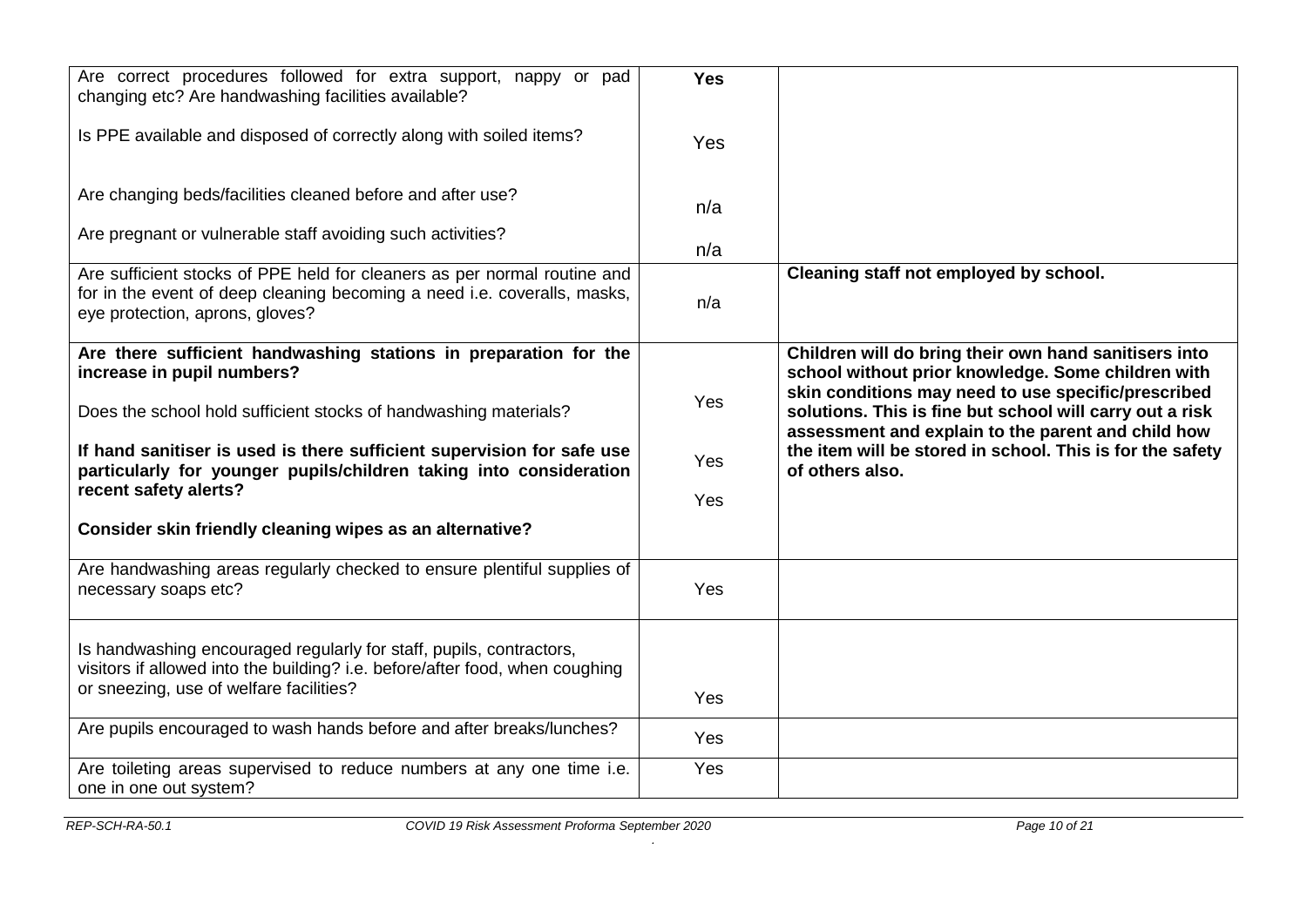| Are correct procedures followed for extra support, nappy or pad<br>changing etc? Are handwashing facilities available?                                                                  | <b>Yes</b> |                                                                                                                                                                       |
|-----------------------------------------------------------------------------------------------------------------------------------------------------------------------------------------|------------|-----------------------------------------------------------------------------------------------------------------------------------------------------------------------|
| Is PPE available and disposed of correctly along with soiled items?                                                                                                                     | Yes        |                                                                                                                                                                       |
| Are changing beds/facilities cleaned before and after use?                                                                                                                              | n/a        |                                                                                                                                                                       |
| Are pregnant or vulnerable staff avoiding such activities?                                                                                                                              | n/a        |                                                                                                                                                                       |
| Are sufficient stocks of PPE held for cleaners as per normal routine and<br>for in the event of deep cleaning becoming a need i.e. coveralls, masks,<br>eye protection, aprons, gloves? | n/a        | Cleaning staff not employed by school.                                                                                                                                |
| Are there sufficient handwashing stations in preparation for the<br>increase in pupil numbers?                                                                                          |            | Children will do bring their own hand sanitisers into<br>school without prior knowledge. Some children with                                                           |
| Does the school hold sufficient stocks of handwashing materials?                                                                                                                        | Yes        | skin conditions may need to use specific/prescribed<br>solutions. This is fine but school will carry out a risk<br>assessment and explain to the parent and child how |
| If hand sanitiser is used is there sufficient supervision for safe use<br>particularly for younger pupils/children taking into consideration<br>recent safety alerts?                   | Yes        | the item will be stored in school. This is for the safety<br>of others also.                                                                                          |
|                                                                                                                                                                                         | Yes        |                                                                                                                                                                       |
| Consider skin friendly cleaning wipes as an alternative?                                                                                                                                |            |                                                                                                                                                                       |
| Are handwashing areas regularly checked to ensure plentiful supplies of<br>necessary soaps etc?                                                                                         | Yes        |                                                                                                                                                                       |
| Is handwashing encouraged regularly for staff, pupils, contractors,<br>visitors if allowed into the building? i.e. before/after food, when coughing                                     |            |                                                                                                                                                                       |
| or sneezing, use of welfare facilities?                                                                                                                                                 | Yes        |                                                                                                                                                                       |
| Are pupils encouraged to wash hands before and after breaks/lunches?                                                                                                                    | Yes        |                                                                                                                                                                       |
| Are toileting areas supervised to reduce numbers at any one time i.e.<br>one in one out system?                                                                                         | Yes        |                                                                                                                                                                       |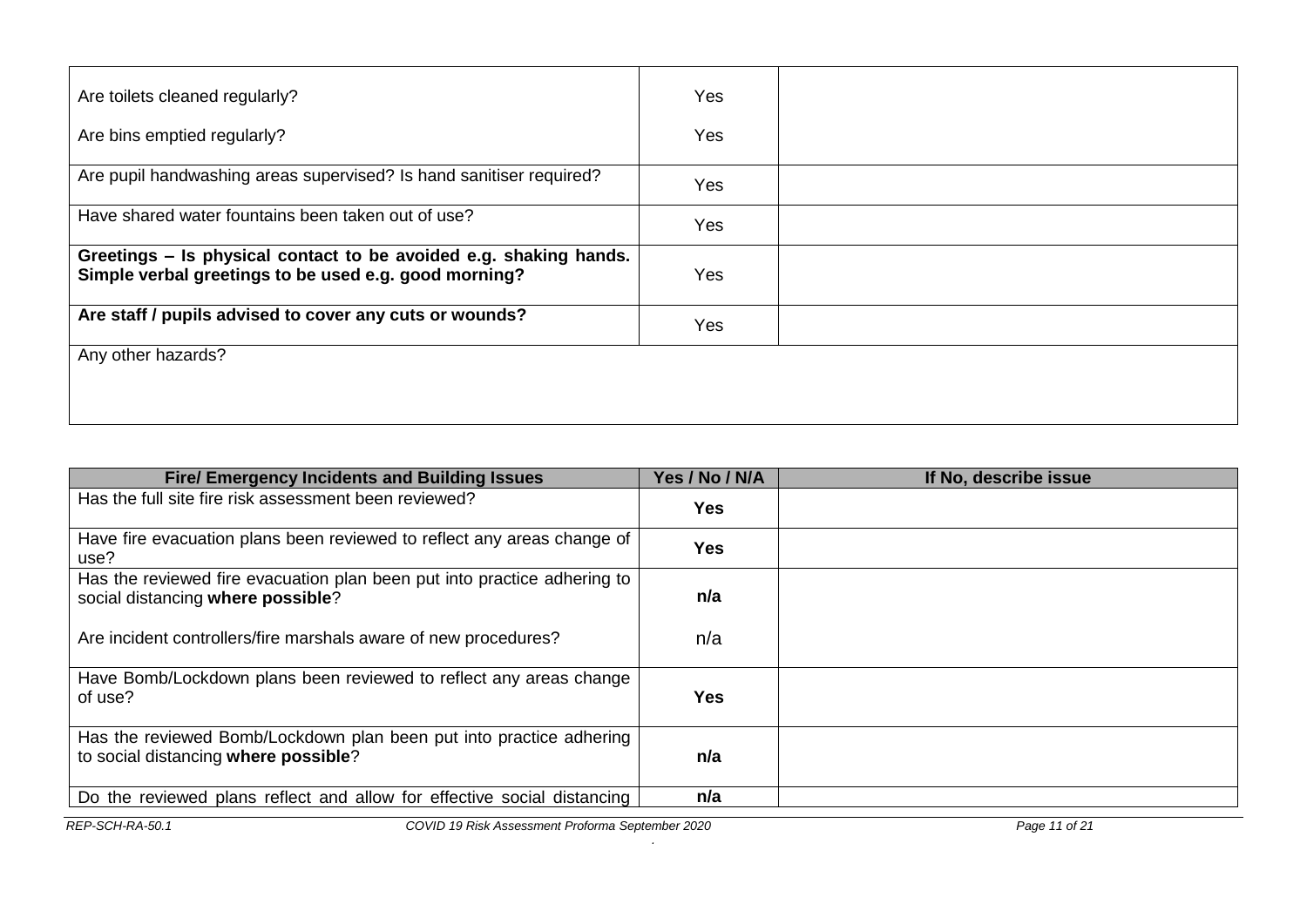| Are toilets cleaned regularly?                                                                                             | Yes |  |
|----------------------------------------------------------------------------------------------------------------------------|-----|--|
| Are bins emptied regularly?                                                                                                | Yes |  |
| Are pupil handwashing areas supervised? Is hand sanitiser required?                                                        | Yes |  |
| Have shared water fountains been taken out of use?                                                                         | Yes |  |
| Greetings – Is physical contact to be avoided e.g. shaking hands.<br>Simple verbal greetings to be used e.g. good morning? | Yes |  |
| Are staff / pupils advised to cover any cuts or wounds?                                                                    | Yes |  |
| Any other hazards?                                                                                                         |     |  |
|                                                                                                                            |     |  |

| <b>Fire/ Emergency Incidents and Building Issues</b>                                                          | Yes / No / N/A | If No, describe issue |
|---------------------------------------------------------------------------------------------------------------|----------------|-----------------------|
| Has the full site fire risk assessment been reviewed?                                                         | Yes            |                       |
| Have fire evacuation plans been reviewed to reflect any areas change of<br>use?                               | <b>Yes</b>     |                       |
| Has the reviewed fire evacuation plan been put into practice adhering to<br>social distancing where possible? | n/a            |                       |
| Are incident controllers/fire marshals aware of new procedures?                                               | n/a            |                       |
| Have Bomb/Lockdown plans been reviewed to reflect any areas change<br>of use?                                 | Yes            |                       |
| Has the reviewed Bomb/Lockdown plan been put into practice adhering<br>to social distancing where possible?   | n/a            |                       |
| Do the reviewed plans reflect and allow for effective social distancing                                       | n/a            |                       |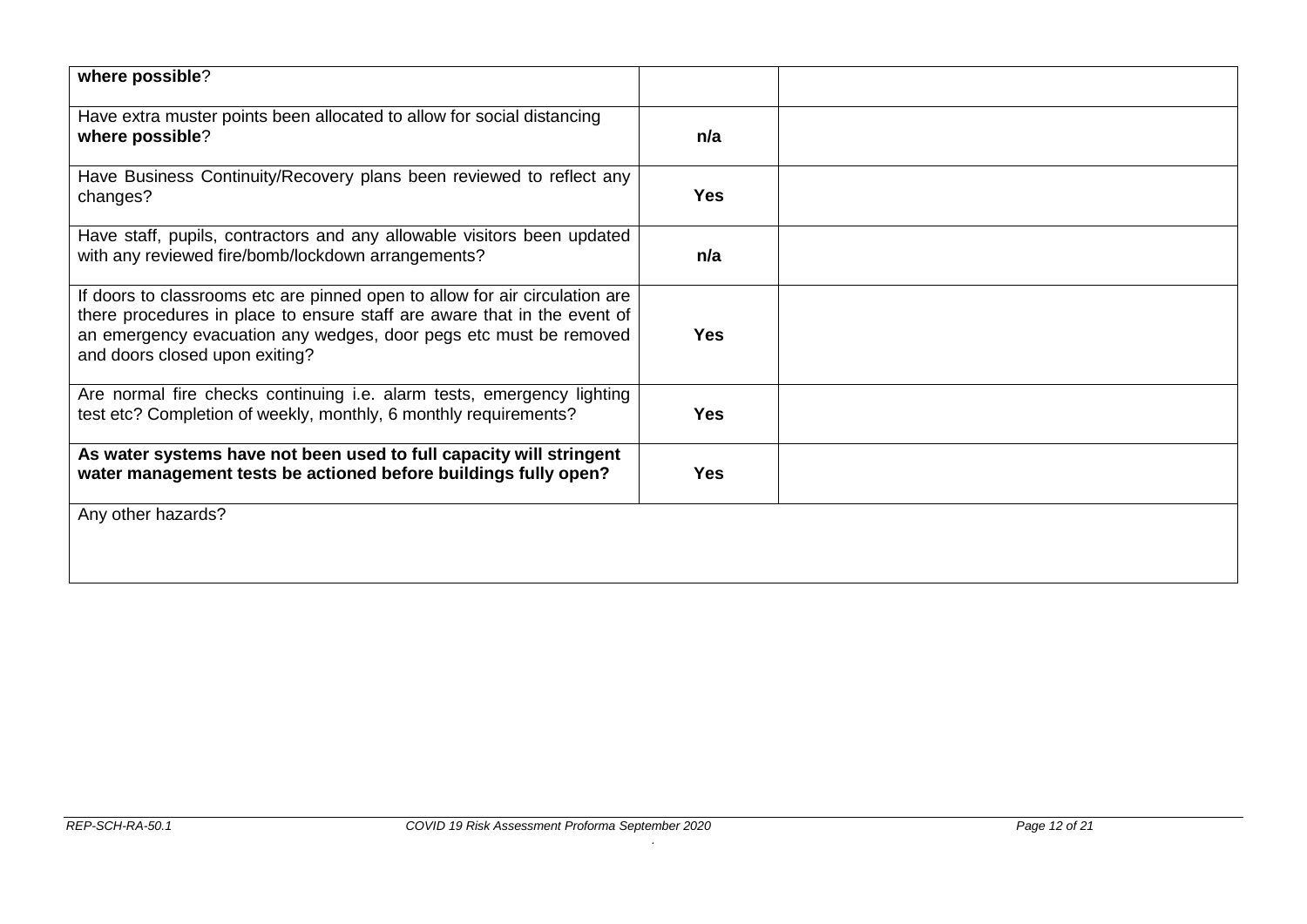| where possible?                                                                                                                                                                                                                                                |            |  |
|----------------------------------------------------------------------------------------------------------------------------------------------------------------------------------------------------------------------------------------------------------------|------------|--|
| Have extra muster points been allocated to allow for social distancing<br>where possible?                                                                                                                                                                      | n/a        |  |
| Have Business Continuity/Recovery plans been reviewed to reflect any<br>changes?                                                                                                                                                                               | <b>Yes</b> |  |
| Have staff, pupils, contractors and any allowable visitors been updated<br>with any reviewed fire/bomb/lockdown arrangements?                                                                                                                                  | n/a        |  |
| If doors to classrooms etc are pinned open to allow for air circulation are<br>there procedures in place to ensure staff are aware that in the event of<br>an emergency evacuation any wedges, door pegs etc must be removed<br>and doors closed upon exiting? | <b>Yes</b> |  |
| Are normal fire checks continuing i.e. alarm tests, emergency lighting<br>test etc? Completion of weekly, monthly, 6 monthly requirements?                                                                                                                     | <b>Yes</b> |  |
| As water systems have not been used to full capacity will stringent<br>water management tests be actioned before buildings fully open?                                                                                                                         | <b>Yes</b> |  |
| Any other hazards?                                                                                                                                                                                                                                             |            |  |
|                                                                                                                                                                                                                                                                |            |  |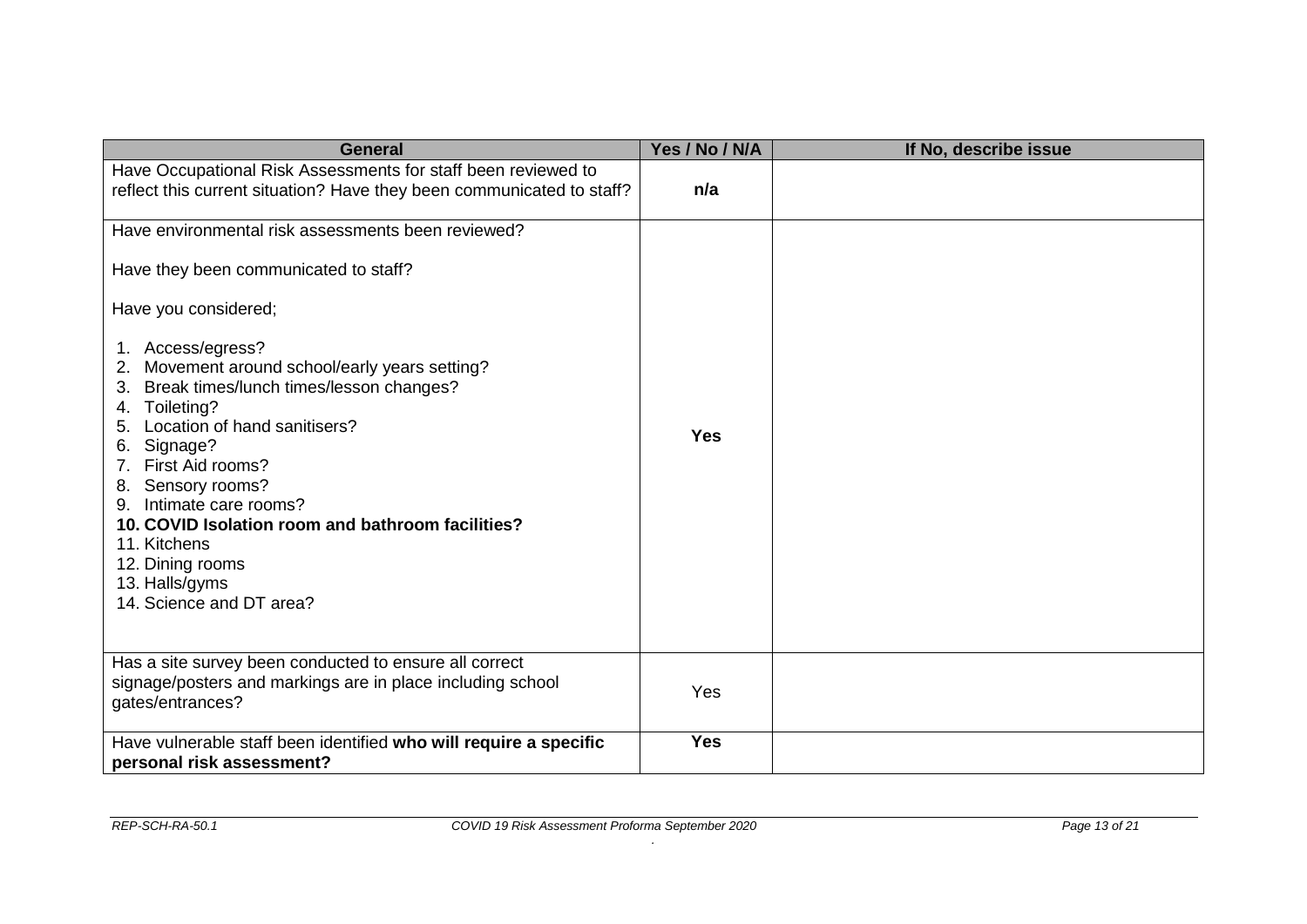| <b>General</b>                                                                                                                                                                                                                                                                                                                                                                                                 | Yes / No / N/A | If No, describe issue |
|----------------------------------------------------------------------------------------------------------------------------------------------------------------------------------------------------------------------------------------------------------------------------------------------------------------------------------------------------------------------------------------------------------------|----------------|-----------------------|
| Have Occupational Risk Assessments for staff been reviewed to<br>reflect this current situation? Have they been communicated to staff?                                                                                                                                                                                                                                                                         | n/a            |                       |
| Have environmental risk assessments been reviewed?                                                                                                                                                                                                                                                                                                                                                             |                |                       |
| Have they been communicated to staff?                                                                                                                                                                                                                                                                                                                                                                          |                |                       |
| Have you considered;                                                                                                                                                                                                                                                                                                                                                                                           |                |                       |
| 1. Access/egress?<br>Movement around school/early years setting?<br>2.<br>Break times/lunch times/lesson changes?<br>3.<br>Toileting?<br>4.<br>Location of hand sanitisers?<br>5.<br>Signage?<br>6.<br>7. First Aid rooms?<br>8. Sensory rooms?<br>Intimate care rooms?<br>10. COVID Isolation room and bathroom facilities?<br>11. Kitchens<br>12. Dining rooms<br>13. Halls/gyms<br>14. Science and DT area? | <b>Yes</b>     |                       |
| Has a site survey been conducted to ensure all correct<br>signage/posters and markings are in place including school<br>gates/entrances?                                                                                                                                                                                                                                                                       | Yes            |                       |
| Have vulnerable staff been identified who will require a specific<br>personal risk assessment?                                                                                                                                                                                                                                                                                                                 | <b>Yes</b>     |                       |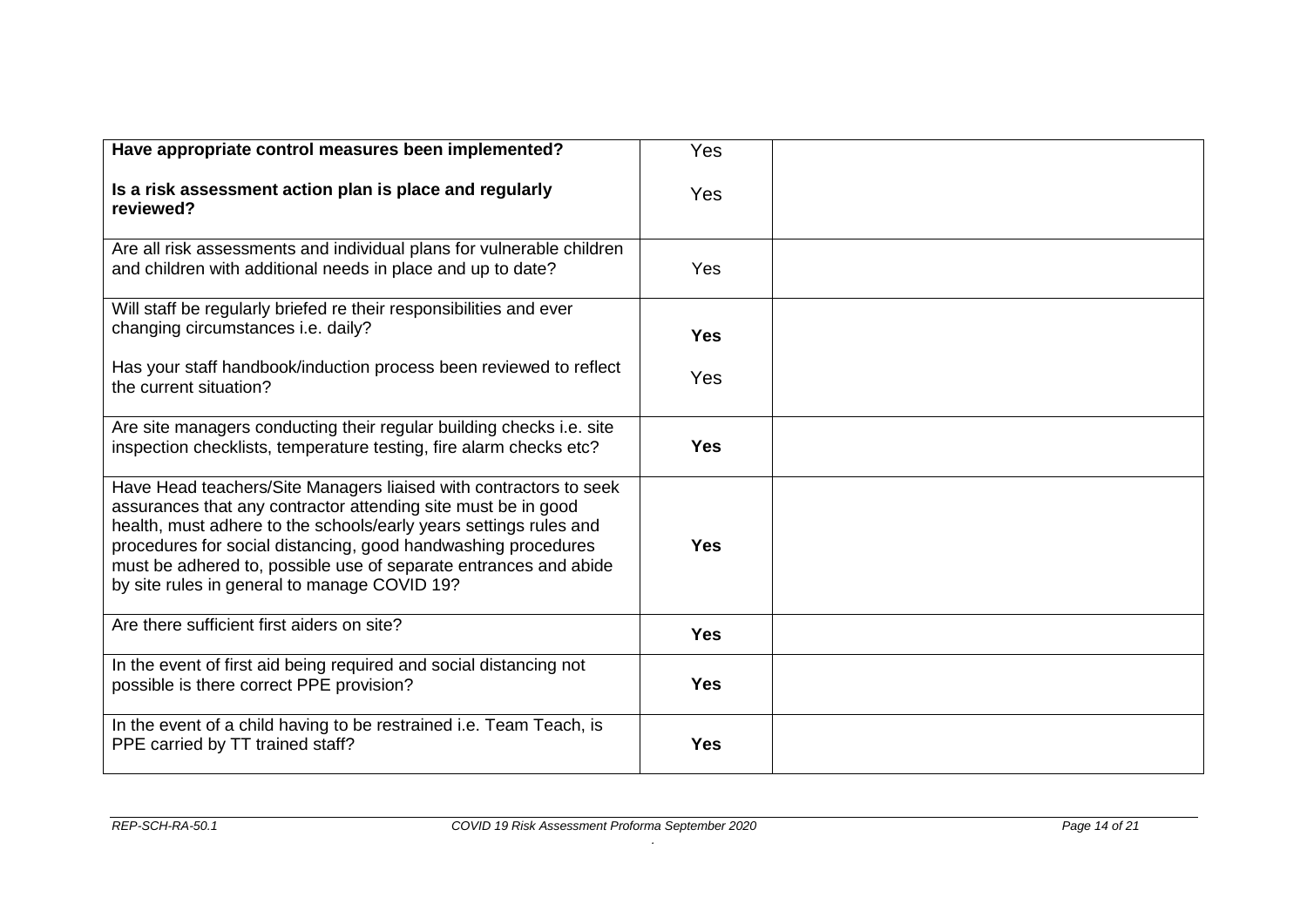| Have appropriate control measures been implemented?                                                                                                                                                                                                                                                                                                                                          | Yes        |  |
|----------------------------------------------------------------------------------------------------------------------------------------------------------------------------------------------------------------------------------------------------------------------------------------------------------------------------------------------------------------------------------------------|------------|--|
| Is a risk assessment action plan is place and regularly<br>reviewed?                                                                                                                                                                                                                                                                                                                         | Yes        |  |
| Are all risk assessments and individual plans for vulnerable children<br>and children with additional needs in place and up to date?                                                                                                                                                                                                                                                         | <b>Yes</b> |  |
| Will staff be regularly briefed re their responsibilities and ever<br>changing circumstances i.e. daily?                                                                                                                                                                                                                                                                                     | <b>Yes</b> |  |
| Has your staff handbook/induction process been reviewed to reflect<br>the current situation?                                                                                                                                                                                                                                                                                                 | Yes        |  |
| Are site managers conducting their regular building checks i.e. site<br>inspection checklists, temperature testing, fire alarm checks etc?                                                                                                                                                                                                                                                   | <b>Yes</b> |  |
| Have Head teachers/Site Managers liaised with contractors to seek<br>assurances that any contractor attending site must be in good<br>health, must adhere to the schools/early years settings rules and<br>procedures for social distancing, good handwashing procedures<br>must be adhered to, possible use of separate entrances and abide<br>by site rules in general to manage COVID 19? | <b>Yes</b> |  |
| Are there sufficient first aiders on site?                                                                                                                                                                                                                                                                                                                                                   | <b>Yes</b> |  |
| In the event of first aid being required and social distancing not<br>possible is there correct PPE provision?                                                                                                                                                                                                                                                                               | <b>Yes</b> |  |
| In the event of a child having to be restrained i.e. Team Teach, is<br>PPE carried by TT trained staff?                                                                                                                                                                                                                                                                                      | <b>Yes</b> |  |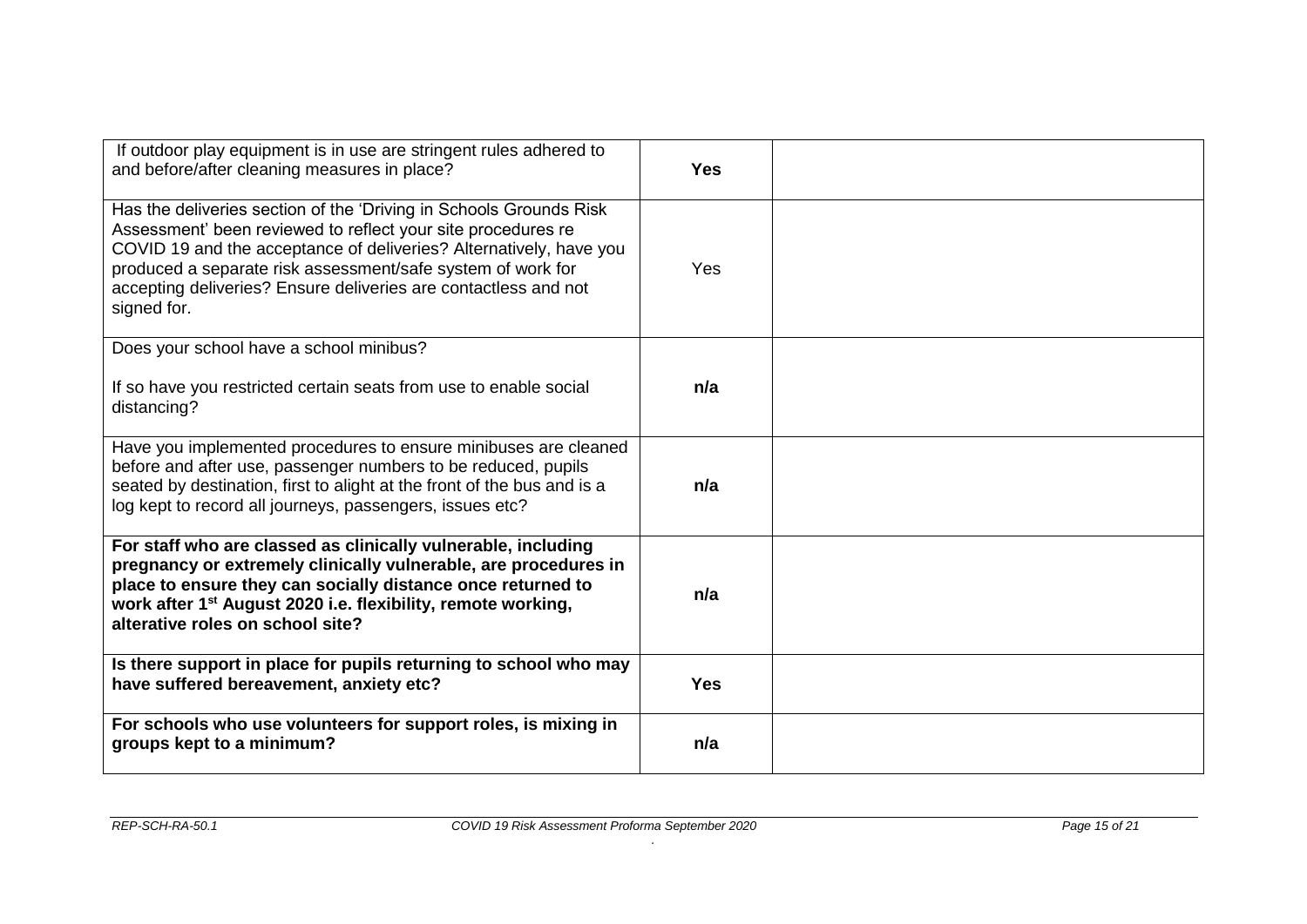| If outdoor play equipment is in use are stringent rules adhered to<br>and before/after cleaning measures in place?                                                                                                                                                                                                                                        | <b>Yes</b> |  |
|-----------------------------------------------------------------------------------------------------------------------------------------------------------------------------------------------------------------------------------------------------------------------------------------------------------------------------------------------------------|------------|--|
| Has the deliveries section of the 'Driving in Schools Grounds Risk<br>Assessment' been reviewed to reflect your site procedures re<br>COVID 19 and the acceptance of deliveries? Alternatively, have you<br>produced a separate risk assessment/safe system of work for<br>accepting deliveries? Ensure deliveries are contactless and not<br>signed for. | Yes        |  |
| Does your school have a school minibus?                                                                                                                                                                                                                                                                                                                   |            |  |
| If so have you restricted certain seats from use to enable social<br>distancing?                                                                                                                                                                                                                                                                          | n/a        |  |
| Have you implemented procedures to ensure minibuses are cleaned<br>before and after use, passenger numbers to be reduced, pupils<br>seated by destination, first to alight at the front of the bus and is a<br>log kept to record all journeys, passengers, issues etc?                                                                                   | n/a        |  |
| For staff who are classed as clinically vulnerable, including<br>pregnancy or extremely clinically vulnerable, are procedures in<br>place to ensure they can socially distance once returned to<br>work after 1 <sup>st</sup> August 2020 i.e. flexibility, remote working,<br>alterative roles on school site?                                           | n/a        |  |
| Is there support in place for pupils returning to school who may<br>have suffered bereavement, anxiety etc?                                                                                                                                                                                                                                               | <b>Yes</b> |  |
| For schools who use volunteers for support roles, is mixing in<br>groups kept to a minimum?                                                                                                                                                                                                                                                               | n/a        |  |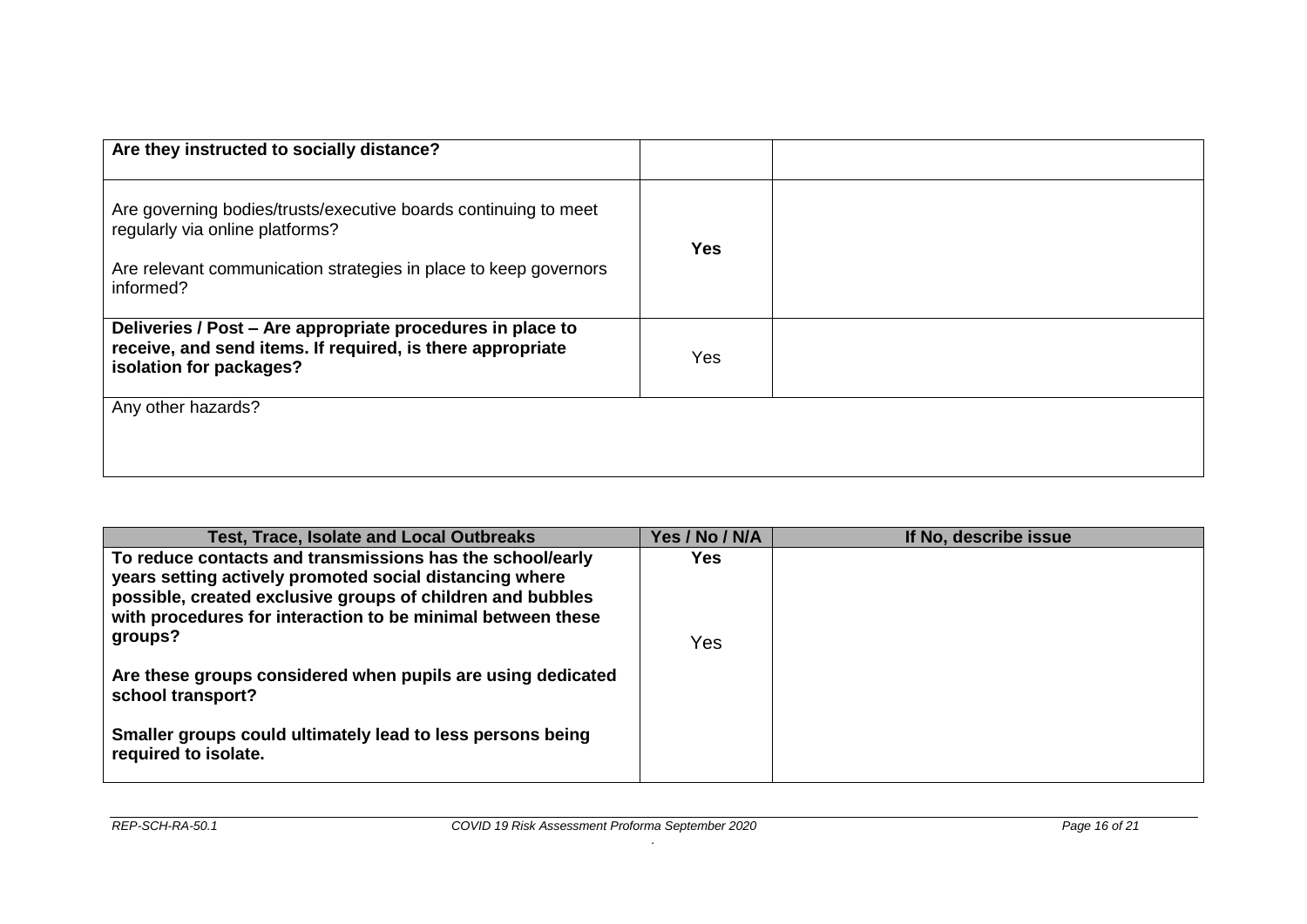| Are they instructed to socially distance?                                                                                                                                           |            |  |
|-------------------------------------------------------------------------------------------------------------------------------------------------------------------------------------|------------|--|
| Are governing bodies/trusts/executive boards continuing to meet<br>regularly via online platforms?<br>Are relevant communication strategies in place to keep governors<br>informed? | <b>Yes</b> |  |
| Deliveries / Post - Are appropriate procedures in place to<br>receive, and send items. If required, is there appropriate<br>isolation for packages?                                 | Yes        |  |
| Any other hazards?                                                                                                                                                                  |            |  |

| <b>Test, Trace, Isolate and Local Outbreaks</b>                                                                                                                                                                                                   | Yes / No / N/A | If No, describe issue |
|---------------------------------------------------------------------------------------------------------------------------------------------------------------------------------------------------------------------------------------------------|----------------|-----------------------|
| To reduce contacts and transmissions has the school/early<br>years setting actively promoted social distancing where<br>possible, created exclusive groups of children and bubbles<br>with procedures for interaction to be minimal between these | Yes            |                       |
| groups?                                                                                                                                                                                                                                           | Yes            |                       |
| Are these groups considered when pupils are using dedicated<br>school transport?                                                                                                                                                                  |                |                       |
| Smaller groups could ultimately lead to less persons being<br>required to isolate.                                                                                                                                                                |                |                       |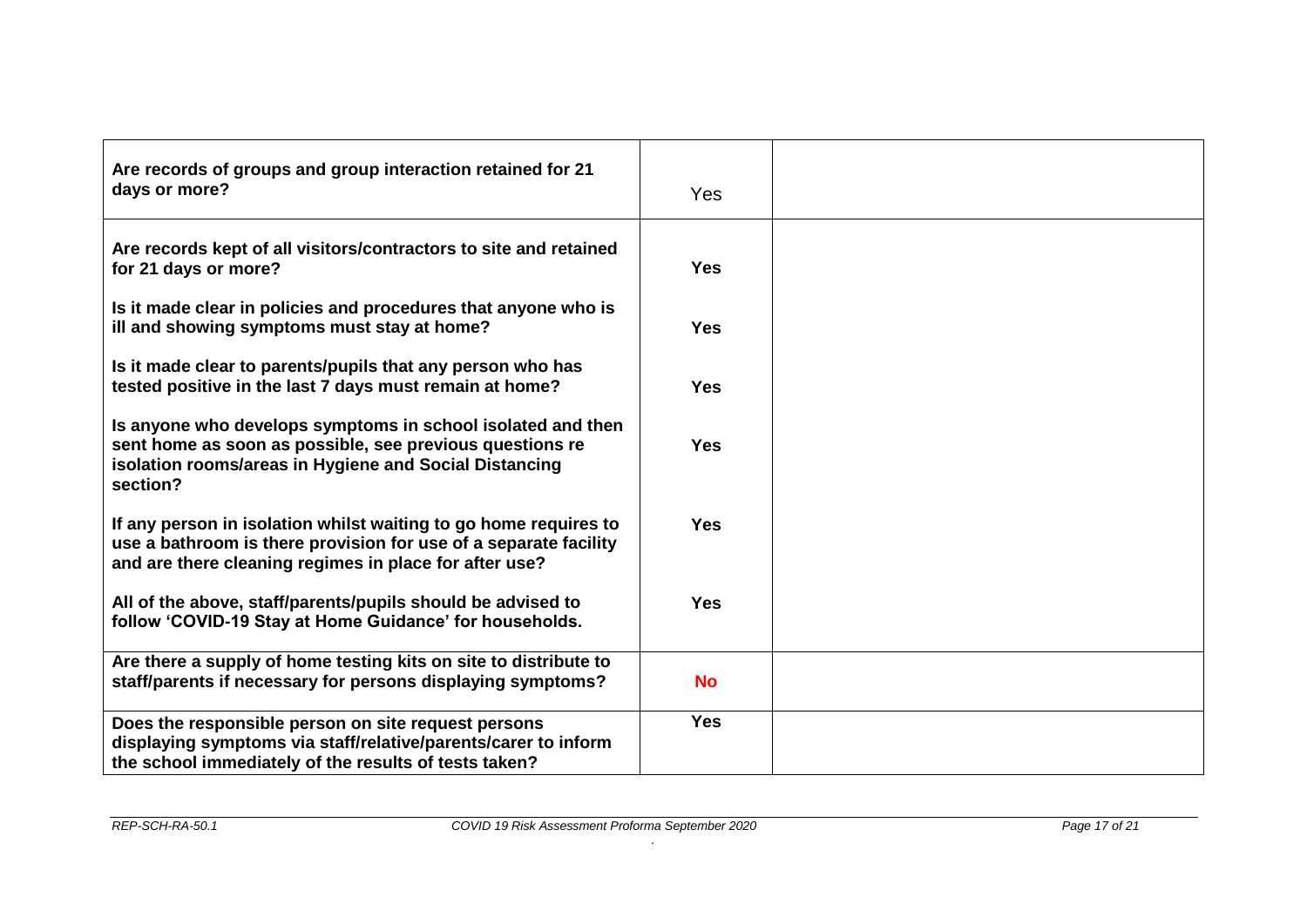| Are records of groups and group interaction retained for 21<br>days or more?                                                                                                                   | Yes        |  |
|------------------------------------------------------------------------------------------------------------------------------------------------------------------------------------------------|------------|--|
| Are records kept of all visitors/contractors to site and retained<br>for 21 days or more?                                                                                                      | <b>Yes</b> |  |
| Is it made clear in policies and procedures that anyone who is<br>ill and showing symptoms must stay at home?                                                                                  | <b>Yes</b> |  |
| Is it made clear to parents/pupils that any person who has<br>tested positive in the last 7 days must remain at home?                                                                          | <b>Yes</b> |  |
| Is anyone who develops symptoms in school isolated and then<br>sent home as soon as possible, see previous questions re<br>isolation rooms/areas in Hygiene and Social Distancing<br>section?  | <b>Yes</b> |  |
| If any person in isolation whilst waiting to go home requires to<br>use a bathroom is there provision for use of a separate facility<br>and are there cleaning regimes in place for after use? | <b>Yes</b> |  |
| All of the above, staff/parents/pupils should be advised to<br>follow 'COVID-19 Stay at Home Guidance' for households.                                                                         | <b>Yes</b> |  |
| Are there a supply of home testing kits on site to distribute to<br>staff/parents if necessary for persons displaying symptoms?                                                                | <b>No</b>  |  |
| Does the responsible person on site request persons<br>displaying symptoms via staff/relative/parents/carer to inform<br>the school immediately of the results of tests taken?                 | <b>Yes</b> |  |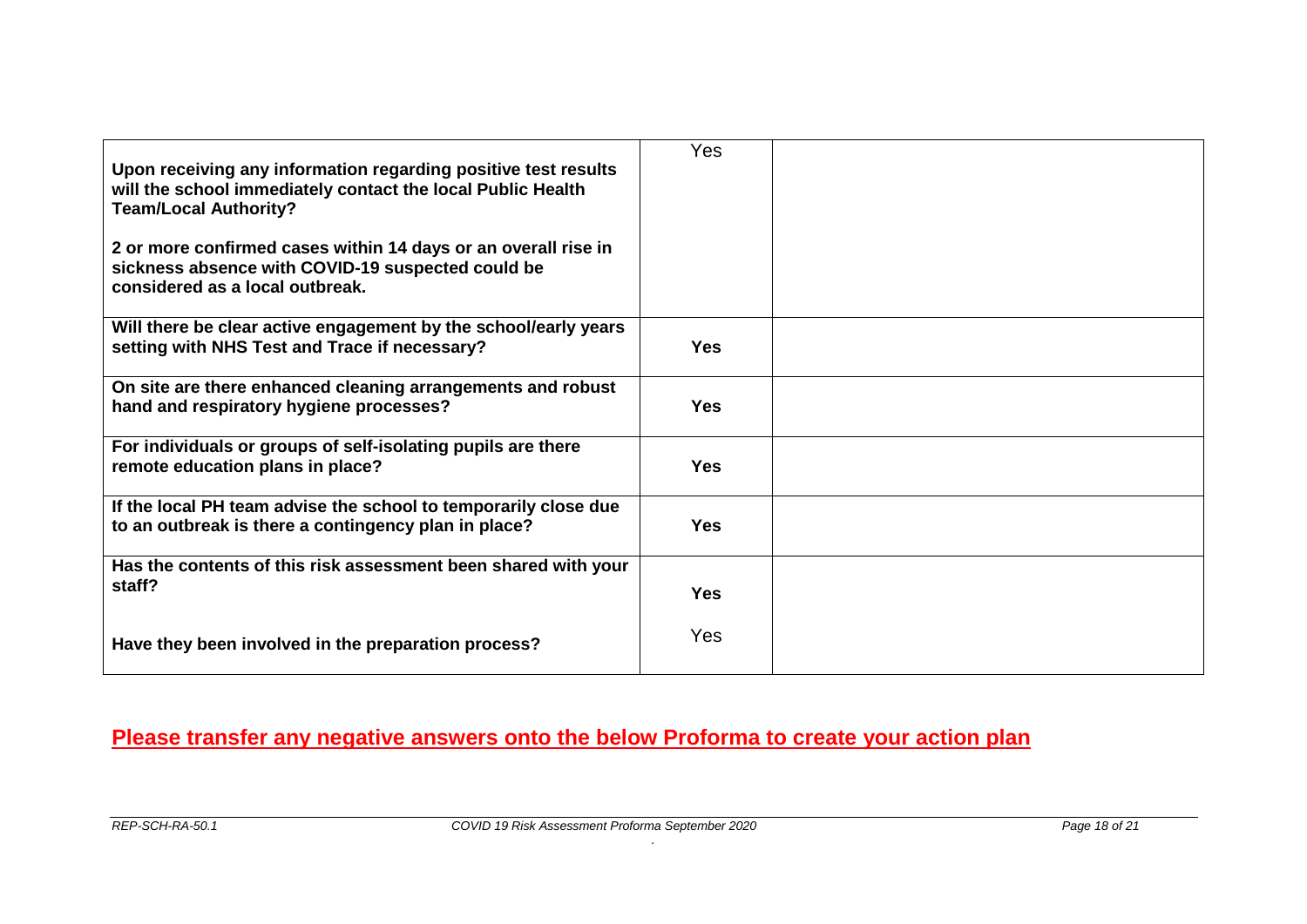| Upon receiving any information regarding positive test results<br>will the school immediately contact the local Public Health<br><b>Team/Local Authority?</b><br>2 or more confirmed cases within 14 days or an overall rise in<br>sickness absence with COVID-19 suspected could be<br>considered as a local outbreak. | <b>Yes</b> |  |
|-------------------------------------------------------------------------------------------------------------------------------------------------------------------------------------------------------------------------------------------------------------------------------------------------------------------------|------------|--|
| Will there be clear active engagement by the school/early years<br>setting with NHS Test and Trace if necessary?                                                                                                                                                                                                        | <b>Yes</b> |  |
| On site are there enhanced cleaning arrangements and robust<br>hand and respiratory hygiene processes?                                                                                                                                                                                                                  | <b>Yes</b> |  |
| For individuals or groups of self-isolating pupils are there<br>remote education plans in place?                                                                                                                                                                                                                        | <b>Yes</b> |  |
| If the local PH team advise the school to temporarily close due<br>to an outbreak is there a contingency plan in place?                                                                                                                                                                                                 | <b>Yes</b> |  |
| Has the contents of this risk assessment been shared with your<br>staff?                                                                                                                                                                                                                                                | <b>Yes</b> |  |
| Have they been involved in the preparation process?                                                                                                                                                                                                                                                                     | <b>Yes</b> |  |

# **Please transfer any negative answers onto the below Proforma to create your action plan**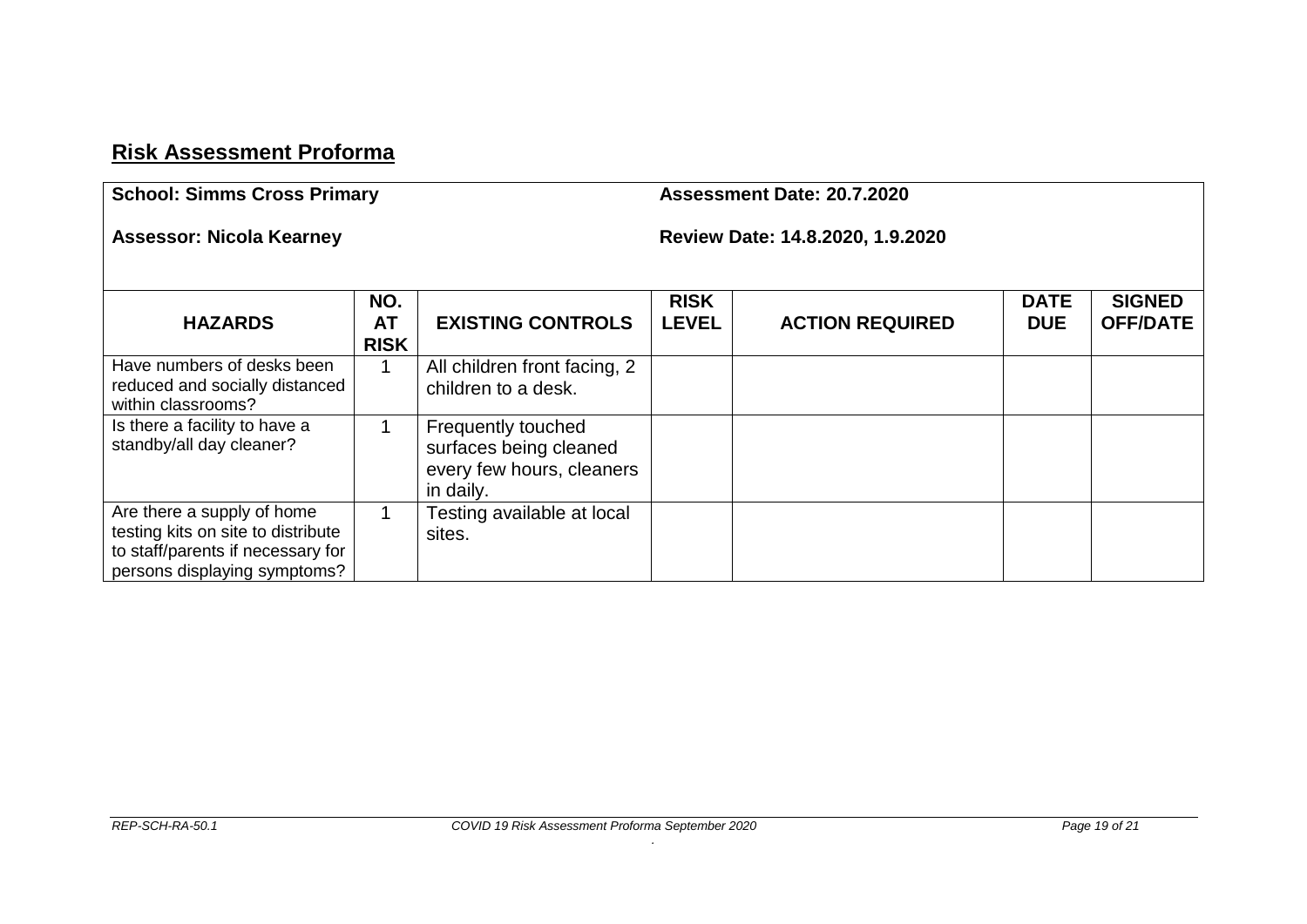# **Risk Assessment Proforma**

| <b>School: Simms Cross Primary</b>                                                                                                    |                                 |                                                                                        |                             | Assessment Date: 20.7.2020       |                           |                                  |
|---------------------------------------------------------------------------------------------------------------------------------------|---------------------------------|----------------------------------------------------------------------------------------|-----------------------------|----------------------------------|---------------------------|----------------------------------|
| <b>Assessor: Nicola Kearney</b>                                                                                                       |                                 |                                                                                        |                             | Review Date: 14.8.2020, 1.9.2020 |                           |                                  |
| <b>HAZARDS</b>                                                                                                                        | NO.<br><b>AT</b><br><b>RISK</b> | <b>EXISTING CONTROLS</b>                                                               | <b>RISK</b><br><b>LEVEL</b> | <b>ACTION REQUIRED</b>           | <b>DATE</b><br><b>DUE</b> | <b>SIGNED</b><br><b>OFF/DATE</b> |
| Have numbers of desks been<br>reduced and socially distanced<br>within classrooms?                                                    |                                 | All children front facing, 2<br>children to a desk.                                    |                             |                                  |                           |                                  |
| Is there a facility to have a<br>standby/all day cleaner?                                                                             |                                 | Frequently touched<br>surfaces being cleaned<br>every few hours, cleaners<br>in daily. |                             |                                  |                           |                                  |
| Are there a supply of home<br>testing kits on site to distribute<br>to staff/parents if necessary for<br>persons displaying symptoms? |                                 | Testing available at local<br>sites.                                                   |                             |                                  |                           |                                  |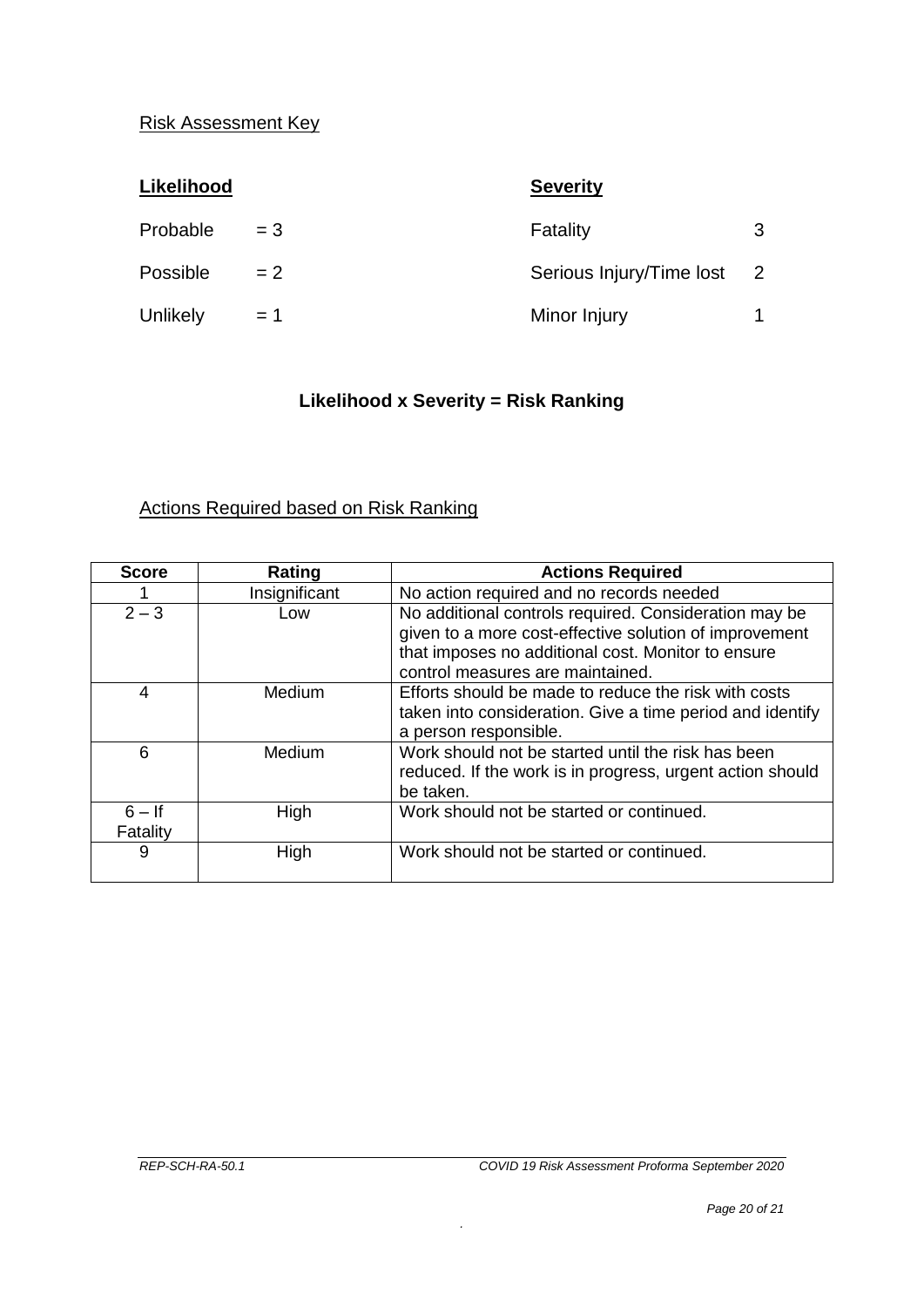#### Risk Assessment Key

| Likelihood |       | <b>Severity</b>          |                |
|------------|-------|--------------------------|----------------|
| Probable   | $= 3$ | Fatality                 | 3              |
| Possible   | $= 2$ | Serious Injury/Time lost | $\overline{2}$ |
| Unlikely   | $= 1$ | Minor Injury             |                |

### **Likelihood x Severity = Risk Ranking**

### Actions Required based on Risk Ranking

| <b>Score</b>         | Rating        | <b>Actions Required</b>                                                                                                                                                                                   |
|----------------------|---------------|-----------------------------------------------------------------------------------------------------------------------------------------------------------------------------------------------------------|
|                      | Insignificant | No action required and no records needed                                                                                                                                                                  |
| $2 - 3$              | Low           | No additional controls required. Consideration may be<br>given to a more cost-effective solution of improvement<br>that imposes no additional cost. Monitor to ensure<br>control measures are maintained. |
| 4                    | Medium        | Efforts should be made to reduce the risk with costs<br>taken into consideration. Give a time period and identify<br>a person responsible.                                                                |
| 6                    | Medium        | Work should not be started until the risk has been<br>reduced. If the work is in progress, urgent action should<br>be taken.                                                                              |
| $6 - If$<br>Fatality | High          | Work should not be started or continued.                                                                                                                                                                  |
| 9                    | High          | Work should not be started or continued.                                                                                                                                                                  |